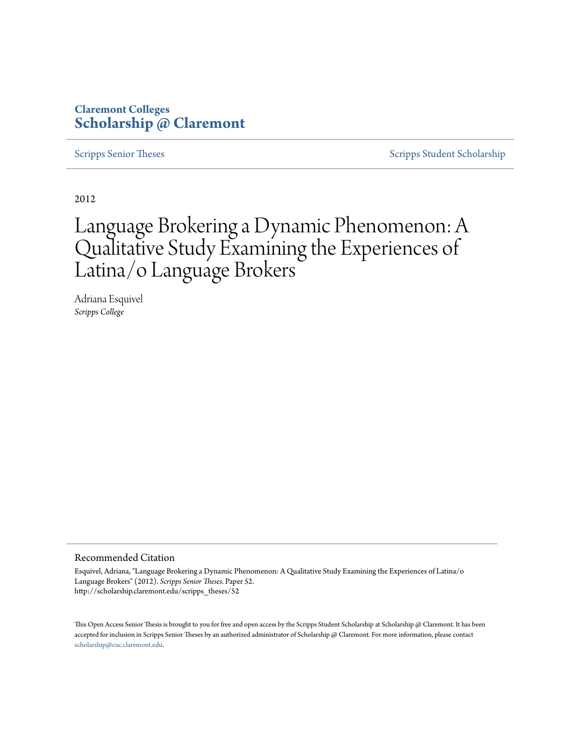# **Claremont Colleges [Scholarship @ Claremont](http://scholarship.claremont.edu)**

[Scripps Senior Theses](http://scholarship.claremont.edu/scripps_theses) [Scripps Student Scholarship](http://scholarship.claremont.edu/scripps_student)

2012

# Language Brokering a Dynamic Phenomenon: A Qualitative Study Examining the Experiences of Latina/o Language Brokers

Adriana Esquivel *Scripps College*

#### Recommended Citation

Esquivel, Adriana, "Language Brokering a Dynamic Phenomenon: A Qualitative Study Examining the Experiences of Latina/o Language Brokers" (2012). *Scripps Senior Theses.* Paper 52. http://scholarship.claremont.edu/scripps\_theses/52

This Open Access Senior Thesis is brought to you for free and open access by the Scripps Student Scholarship at Scholarship @ Claremont. It has been accepted for inclusion in Scripps Senior Theses by an authorized administrator of Scholarship @ Claremont. For more information, please contact [scholarship@cuc.claremont.edu.](mailto:scholarship@cuc.claremont.edu)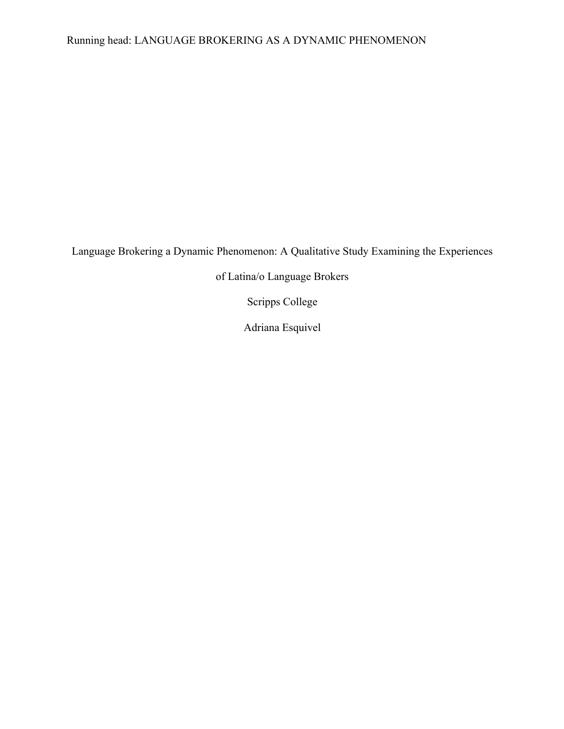# Running head: LANGUAGE BROKERING AS A DYNAMIC PHENOMENON

Language Brokering a Dynamic Phenomenon: A Qualitative Study Examining the Experiences

of Latina/o Language Brokers

Scripps College

Adriana Esquivel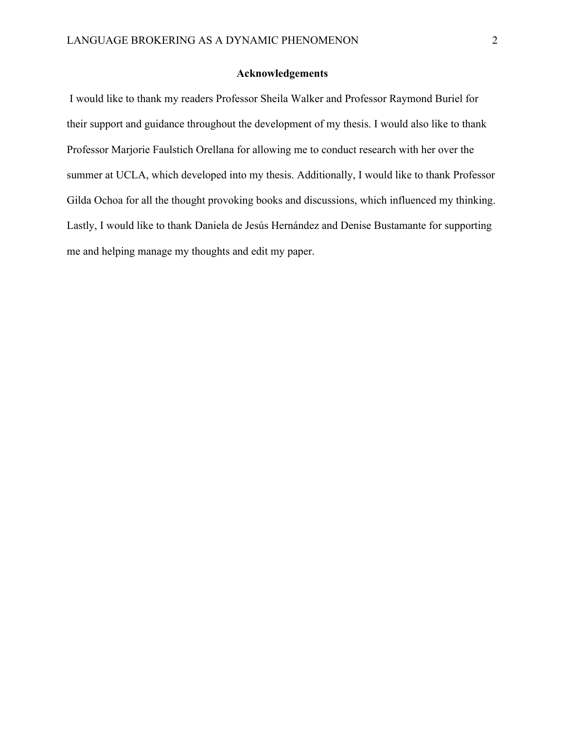# **Acknowledgements**

I would like to thank my readers Professor Sheila Walker and Professor Raymond Buriel for their support and guidance throughout the development of my thesis. I would also like to thank Professor Marjorie Faulstich Orellana for allowing me to conduct research with her over the summer at UCLA, which developed into my thesis. Additionally, I would like to thank Professor Gilda Ochoa for all the thought provoking books and discussions, which influenced my thinking. Lastly, I would like to thank Daniela de Jesús Hernández and Denise Bustamante for supporting me and helping manage my thoughts and edit my paper.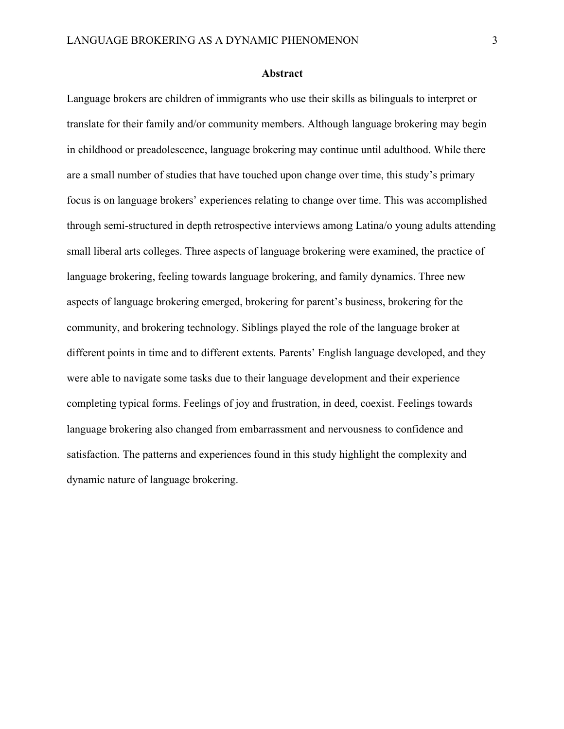#### **Abstract**

Language brokers are children of immigrants who use their skills as bilinguals to interpret or translate for their family and/or community members. Although language brokering may begin in childhood or preadolescence, language brokering may continue until adulthood. While there are a small number of studies that have touched upon change over time, this study's primary focus is on language brokers' experiences relating to change over time. This was accomplished through semi-structured in depth retrospective interviews among Latina/o young adults attending small liberal arts colleges. Three aspects of language brokering were examined, the practice of language brokering, feeling towards language brokering, and family dynamics. Three new aspects of language brokering emerged, brokering for parent's business, brokering for the community, and brokering technology. Siblings played the role of the language broker at different points in time and to different extents. Parents' English language developed, and they were able to navigate some tasks due to their language development and their experience completing typical forms. Feelings of joy and frustration, in deed, coexist. Feelings towards language brokering also changed from embarrassment and nervousness to confidence and satisfaction. The patterns and experiences found in this study highlight the complexity and dynamic nature of language brokering.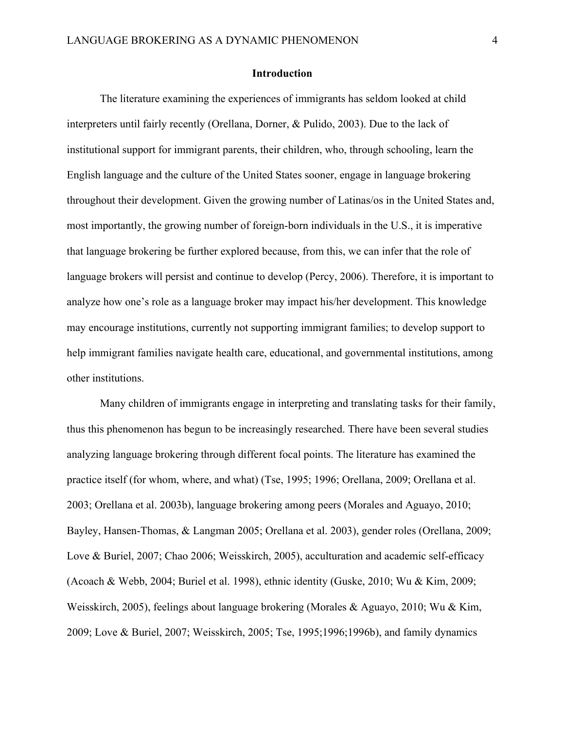# **Introduction**

The literature examining the experiences of immigrants has seldom looked at child interpreters until fairly recently (Orellana, Dorner, & Pulido, 2003). Due to the lack of institutional support for immigrant parents, their children, who, through schooling, learn the English language and the culture of the United States sooner, engage in language brokering throughout their development. Given the growing number of Latinas/os in the United States and, most importantly, the growing number of foreign-born individuals in the U.S., it is imperative that language brokering be further explored because, from this, we can infer that the role of language brokers will persist and continue to develop (Percy, 2006). Therefore, it is important to analyze how one's role as a language broker may impact his/her development. This knowledge may encourage institutions, currently not supporting immigrant families; to develop support to help immigrant families navigate health care, educational, and governmental institutions, among other institutions.

Many children of immigrants engage in interpreting and translating tasks for their family, thus this phenomenon has begun to be increasingly researched. There have been several studies analyzing language brokering through different focal points. The literature has examined the practice itself (for whom, where, and what) (Tse, 1995; 1996; Orellana, 2009; Orellana et al. 2003; Orellana et al. 2003b), language brokering among peers (Morales and Aguayo, 2010; Bayley, Hansen-Thomas, & Langman 2005; Orellana et al. 2003), gender roles (Orellana, 2009; Love & Buriel, 2007; Chao 2006; Weisskirch, 2005), acculturation and academic self-efficacy (Acoach & Webb, 2004; Buriel et al. 1998), ethnic identity (Guske, 2010; Wu & Kim, 2009; Weisskirch, 2005), feelings about language brokering (Morales & Aguayo, 2010; Wu & Kim, 2009; Love & Buriel, 2007; Weisskirch, 2005; Tse, 1995;1996;1996b), and family dynamics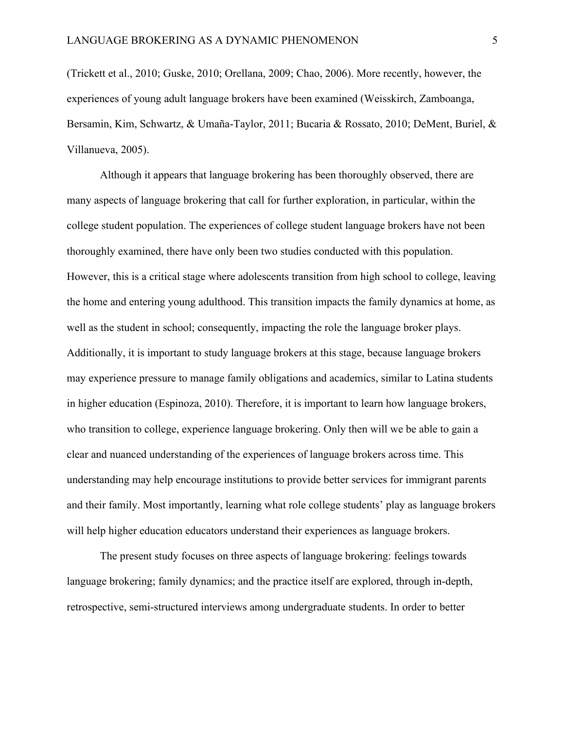(Trickett et al., 2010; Guske, 2010; Orellana, 2009; Chao, 2006). More recently, however, the experiences of young adult language brokers have been examined (Weisskirch, Zamboanga, Bersamin, Kim, Schwartz, & Umaña-Taylor, 2011; Bucaria & Rossato, 2010; DeMent, Buriel, & Villanueva, 2005).

Although it appears that language brokering has been thoroughly observed, there are many aspects of language brokering that call for further exploration, in particular, within the college student population. The experiences of college student language brokers have not been thoroughly examined, there have only been two studies conducted with this population. However, this is a critical stage where adolescents transition from high school to college, leaving the home and entering young adulthood. This transition impacts the family dynamics at home, as well as the student in school; consequently, impacting the role the language broker plays. Additionally, it is important to study language brokers at this stage, because language brokers may experience pressure to manage family obligations and academics, similar to Latina students in higher education (Espinoza, 2010). Therefore, it is important to learn how language brokers, who transition to college, experience language brokering. Only then will we be able to gain a clear and nuanced understanding of the experiences of language brokers across time. This understanding may help encourage institutions to provide better services for immigrant parents and their family. Most importantly, learning what role college students' play as language brokers will help higher education educators understand their experiences as language brokers.

The present study focuses on three aspects of language brokering: feelings towards language brokering; family dynamics; and the practice itself are explored, through in-depth, retrospective, semi-structured interviews among undergraduate students. In order to better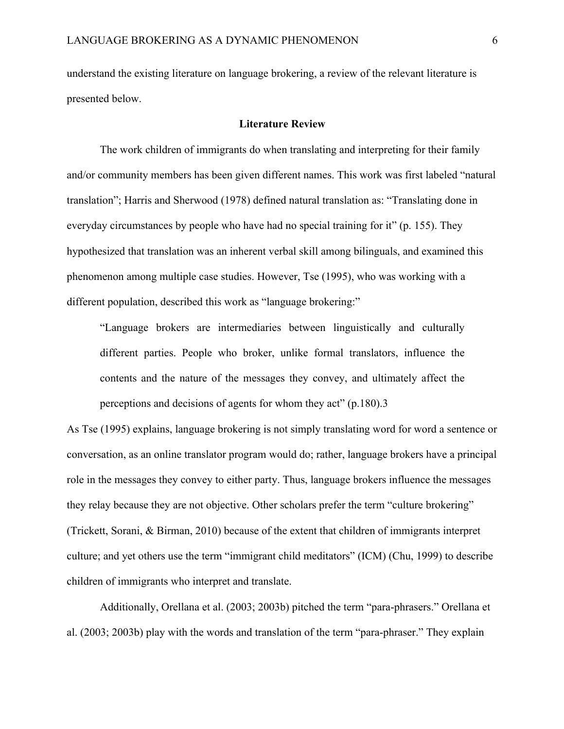understand the existing literature on language brokering, a review of the relevant literature is presented below.

#### **Literature Review**

The work children of immigrants do when translating and interpreting for their family and/or community members has been given different names. This work was first labeled "natural translation"; Harris and Sherwood (1978) defined natural translation as: "Translating done in everyday circumstances by people who have had no special training for it" (p. 155). They hypothesized that translation was an inherent verbal skill among bilinguals, and examined this phenomenon among multiple case studies. However, Tse (1995), who was working with a different population, described this work as "language brokering:"

"Language brokers are intermediaries between linguistically and culturally different parties. People who broker, unlike formal translators, influence the contents and the nature of the messages they convey, and ultimately affect the perceptions and decisions of agents for whom they act" (p.180).3

As Tse (1995) explains, language brokering is not simply translating word for word a sentence or conversation, as an online translator program would do; rather, language brokers have a principal role in the messages they convey to either party. Thus, language brokers influence the messages they relay because they are not objective. Other scholars prefer the term "culture brokering" (Trickett, Sorani, & Birman, 2010) because of the extent that children of immigrants interpret culture; and yet others use the term "immigrant child meditators" (ICM) (Chu, 1999) to describe children of immigrants who interpret and translate.

Additionally, Orellana et al. (2003; 2003b) pitched the term "para-phrasers." Orellana et al. (2003; 2003b) play with the words and translation of the term "para-phraser." They explain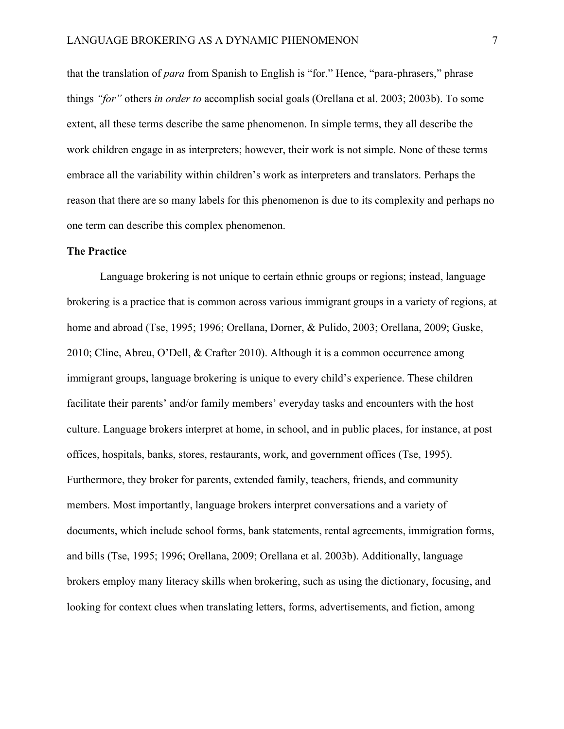that the translation of *para* from Spanish to English is "for." Hence, "para-phrasers," phrase things *"for"* others *in order to* accomplish social goals (Orellana et al. 2003; 2003b). To some extent, all these terms describe the same phenomenon. In simple terms, they all describe the work children engage in as interpreters; however, their work is not simple. None of these terms embrace all the variability within children's work as interpreters and translators. Perhaps the reason that there are so many labels for this phenomenon is due to its complexity and perhaps no one term can describe this complex phenomenon.

#### **The Practice**

Language brokering is not unique to certain ethnic groups or regions; instead, language brokering is a practice that is common across various immigrant groups in a variety of regions, at home and abroad (Tse, 1995; 1996; Orellana, Dorner, & Pulido, 2003; Orellana, 2009; Guske, 2010; Cline, Abreu, O'Dell, & Crafter 2010). Although it is a common occurrence among immigrant groups, language brokering is unique to every child's experience. These children facilitate their parents' and/or family members' everyday tasks and encounters with the host culture. Language brokers interpret at home, in school, and in public places, for instance, at post offices, hospitals, banks, stores, restaurants, work, and government offices (Tse, 1995). Furthermore, they broker for parents, extended family, teachers, friends, and community members. Most importantly, language brokers interpret conversations and a variety of documents, which include school forms, bank statements, rental agreements, immigration forms, and bills (Tse, 1995; 1996; Orellana, 2009; Orellana et al. 2003b). Additionally, language brokers employ many literacy skills when brokering, such as using the dictionary, focusing, and looking for context clues when translating letters, forms, advertisements, and fiction, among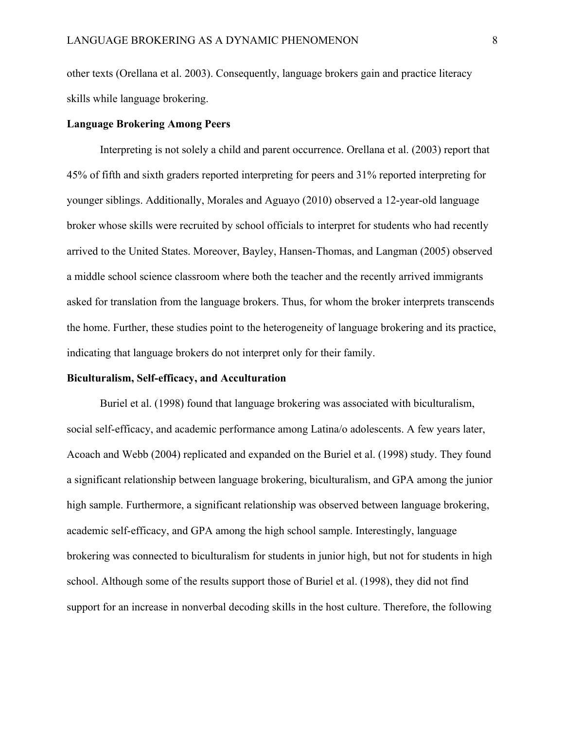other texts (Orellana et al. 2003). Consequently, language brokers gain and practice literacy skills while language brokering.

#### **Language Brokering Among Peers**

Interpreting is not solely a child and parent occurrence. Orellana et al. (2003) report that 45% of fifth and sixth graders reported interpreting for peers and 31% reported interpreting for younger siblings. Additionally, Morales and Aguayo (2010) observed a 12-year-old language broker whose skills were recruited by school officials to interpret for students who had recently arrived to the United States. Moreover, Bayley, Hansen-Thomas, and Langman (2005) observed a middle school science classroom where both the teacher and the recently arrived immigrants asked for translation from the language brokers. Thus, for whom the broker interprets transcends the home. Further, these studies point to the heterogeneity of language brokering and its practice, indicating that language brokers do not interpret only for their family.

#### **Biculturalism, Self-efficacy, and Acculturation**

Buriel et al. (1998) found that language brokering was associated with biculturalism, social self-efficacy, and academic performance among Latina/o adolescents. A few years later, Acoach and Webb (2004) replicated and expanded on the Buriel et al. (1998) study. They found a significant relationship between language brokering, biculturalism, and GPA among the junior high sample. Furthermore, a significant relationship was observed between language brokering, academic self-efficacy, and GPA among the high school sample. Interestingly, language brokering was connected to biculturalism for students in junior high, but not for students in high school. Although some of the results support those of Buriel et al. (1998), they did not find support for an increase in nonverbal decoding skills in the host culture. Therefore, the following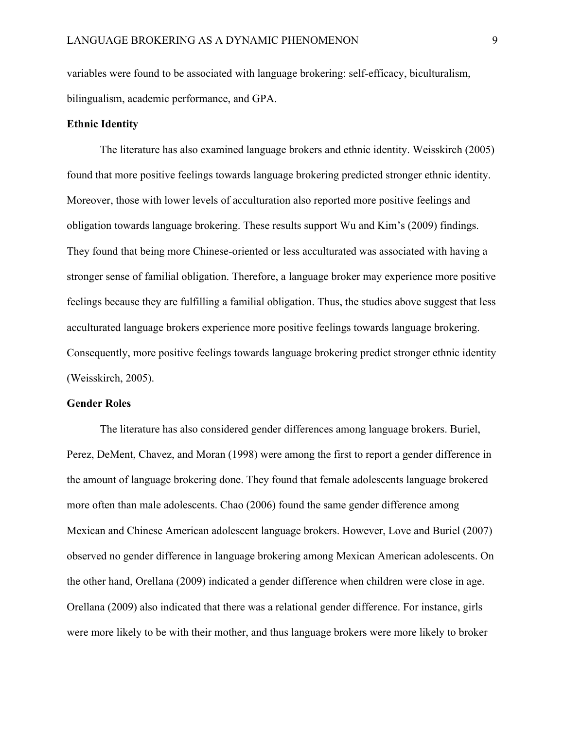variables were found to be associated with language brokering: self-efficacy, biculturalism, bilingualism, academic performance, and GPA.

#### **Ethnic Identity**

The literature has also examined language brokers and ethnic identity. Weisskirch (2005) found that more positive feelings towards language brokering predicted stronger ethnic identity. Moreover, those with lower levels of acculturation also reported more positive feelings and obligation towards language brokering. These results support Wu and Kim's (2009) findings. They found that being more Chinese-oriented or less acculturated was associated with having a stronger sense of familial obligation. Therefore, a language broker may experience more positive feelings because they are fulfilling a familial obligation. Thus, the studies above suggest that less acculturated language brokers experience more positive feelings towards language brokering. Consequently, more positive feelings towards language brokering predict stronger ethnic identity (Weisskirch, 2005).

#### **Gender Roles**

The literature has also considered gender differences among language brokers. Buriel, Perez, DeMent, Chavez, and Moran (1998) were among the first to report a gender difference in the amount of language brokering done. They found that female adolescents language brokered more often than male adolescents. Chao (2006) found the same gender difference among Mexican and Chinese American adolescent language brokers. However, Love and Buriel (2007) observed no gender difference in language brokering among Mexican American adolescents. On the other hand, Orellana (2009) indicated a gender difference when children were close in age. Orellana (2009) also indicated that there was a relational gender difference. For instance, girls were more likely to be with their mother, and thus language brokers were more likely to broker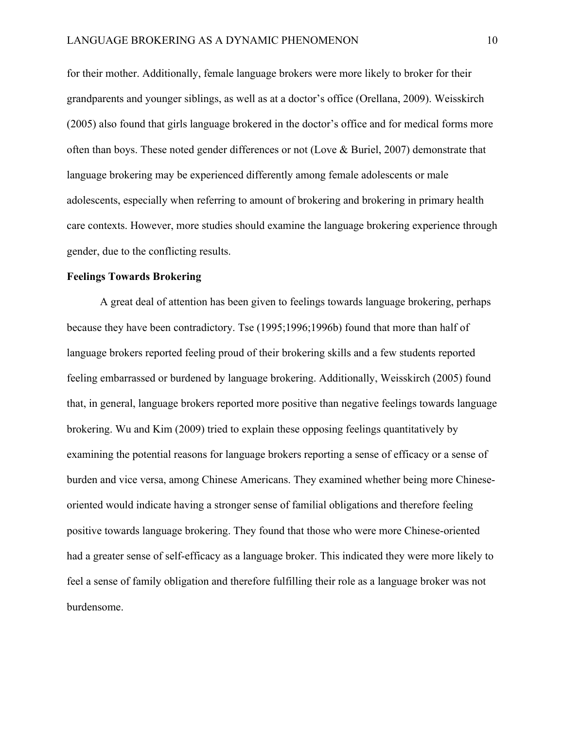for their mother. Additionally, female language brokers were more likely to broker for their grandparents and younger siblings, as well as at a doctor's office (Orellana, 2009). Weisskirch (2005) also found that girls language brokered in the doctor's office and for medical forms more often than boys. These noted gender differences or not (Love & Buriel, 2007) demonstrate that language brokering may be experienced differently among female adolescents or male adolescents, especially when referring to amount of brokering and brokering in primary health care contexts. However, more studies should examine the language brokering experience through gender, due to the conflicting results.

#### **Feelings Towards Brokering**

A great deal of attention has been given to feelings towards language brokering, perhaps because they have been contradictory. Tse (1995;1996;1996b) found that more than half of language brokers reported feeling proud of their brokering skills and a few students reported feeling embarrassed or burdened by language brokering. Additionally, Weisskirch (2005) found that, in general, language brokers reported more positive than negative feelings towards language brokering. Wu and Kim (2009) tried to explain these opposing feelings quantitatively by examining the potential reasons for language brokers reporting a sense of efficacy or a sense of burden and vice versa, among Chinese Americans. They examined whether being more Chineseoriented would indicate having a stronger sense of familial obligations and therefore feeling positive towards language brokering. They found that those who were more Chinese-oriented had a greater sense of self-efficacy as a language broker. This indicated they were more likely to feel a sense of family obligation and therefore fulfilling their role as a language broker was not burdensome.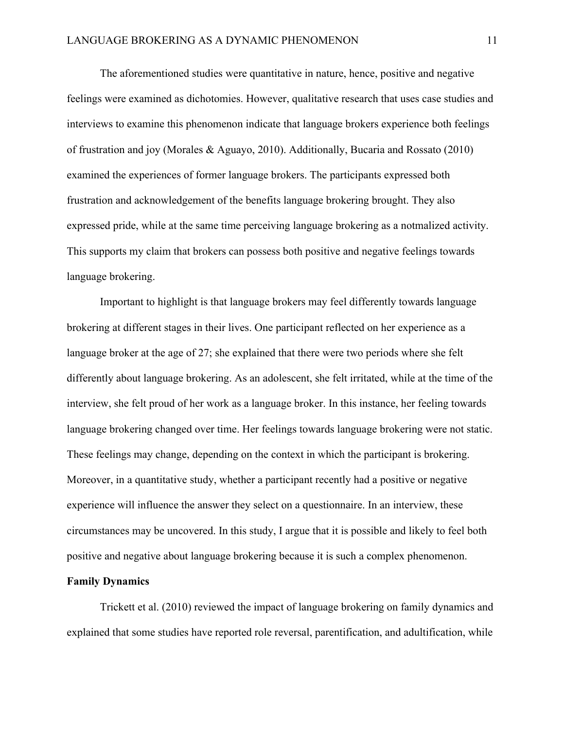The aforementioned studies were quantitative in nature, hence, positive and negative feelings were examined as dichotomies. However, qualitative research that uses case studies and interviews to examine this phenomenon indicate that language brokers experience both feelings of frustration and joy (Morales & Aguayo, 2010). Additionally, Bucaria and Rossato (2010) examined the experiences of former language brokers. The participants expressed both frustration and acknowledgement of the benefits language brokering brought. They also expressed pride, while at the same time perceiving language brokering as a notmalized activity. This supports my claim that brokers can possess both positive and negative feelings towards language brokering.

Important to highlight is that language brokers may feel differently towards language brokering at different stages in their lives. One participant reflected on her experience as a language broker at the age of 27; she explained that there were two periods where she felt differently about language brokering. As an adolescent, she felt irritated, while at the time of the interview, she felt proud of her work as a language broker. In this instance, her feeling towards language brokering changed over time. Her feelings towards language brokering were not static. These feelings may change, depending on the context in which the participant is brokering. Moreover, in a quantitative study, whether a participant recently had a positive or negative experience will influence the answer they select on a questionnaire. In an interview, these circumstances may be uncovered. In this study, I argue that it is possible and likely to feel both positive and negative about language brokering because it is such a complex phenomenon.

#### **Family Dynamics**

Trickett et al. (2010) reviewed the impact of language brokering on family dynamics and explained that some studies have reported role reversal, parentification, and adultification, while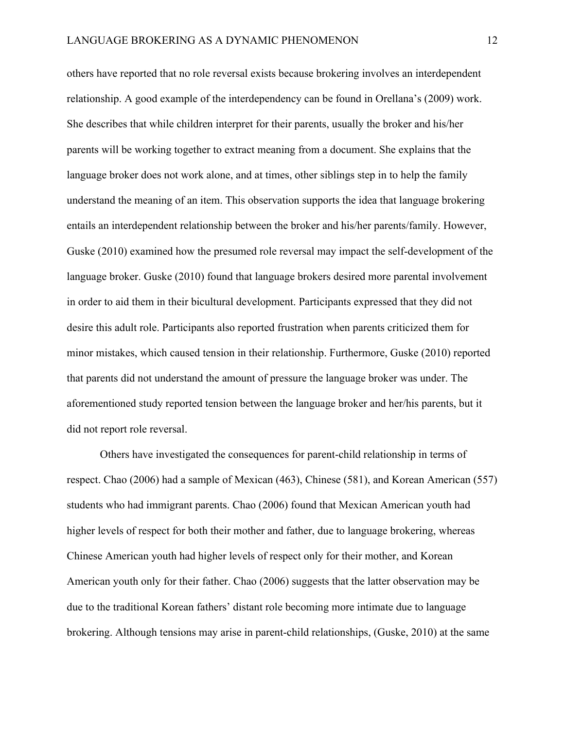others have reported that no role reversal exists because brokering involves an interdependent relationship. A good example of the interdependency can be found in Orellana's (2009) work. She describes that while children interpret for their parents, usually the broker and his/her parents will be working together to extract meaning from a document. She explains that the language broker does not work alone, and at times, other siblings step in to help the family understand the meaning of an item. This observation supports the idea that language brokering entails an interdependent relationship between the broker and his/her parents/family. However, Guske (2010) examined how the presumed role reversal may impact the self-development of the language broker. Guske (2010) found that language brokers desired more parental involvement in order to aid them in their bicultural development. Participants expressed that they did not desire this adult role. Participants also reported frustration when parents criticized them for minor mistakes, which caused tension in their relationship. Furthermore, Guske (2010) reported that parents did not understand the amount of pressure the language broker was under. The aforementioned study reported tension between the language broker and her/his parents, but it did not report role reversal.

Others have investigated the consequences for parent-child relationship in terms of respect. Chao (2006) had a sample of Mexican (463), Chinese (581), and Korean American (557) students who had immigrant parents. Chao (2006) found that Mexican American youth had higher levels of respect for both their mother and father, due to language brokering, whereas Chinese American youth had higher levels of respect only for their mother, and Korean American youth only for their father. Chao (2006) suggests that the latter observation may be due to the traditional Korean fathers' distant role becoming more intimate due to language brokering. Although tensions may arise in parent-child relationships, (Guske, 2010) at the same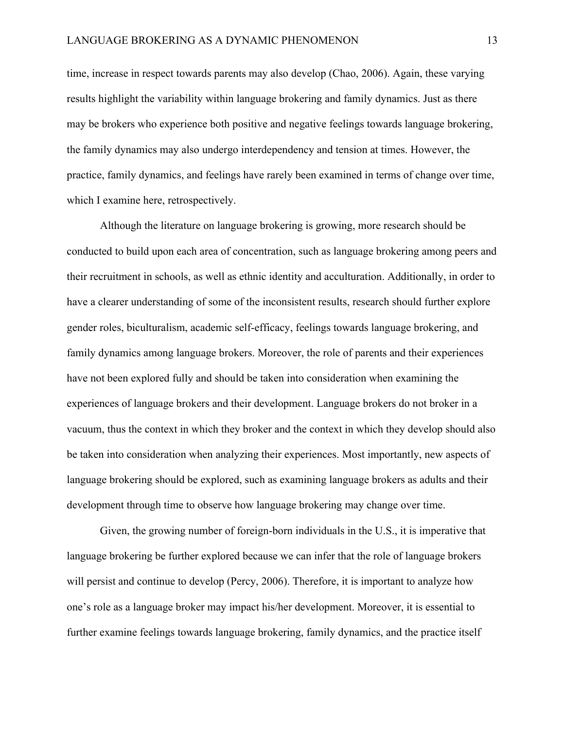time, increase in respect towards parents may also develop (Chao, 2006). Again, these varying results highlight the variability within language brokering and family dynamics. Just as there may be brokers who experience both positive and negative feelings towards language brokering, the family dynamics may also undergo interdependency and tension at times. However, the practice, family dynamics, and feelings have rarely been examined in terms of change over time, which I examine here, retrospectively.

Although the literature on language brokering is growing, more research should be conducted to build upon each area of concentration, such as language brokering among peers and their recruitment in schools, as well as ethnic identity and acculturation. Additionally, in order to have a clearer understanding of some of the inconsistent results, research should further explore gender roles, biculturalism, academic self-efficacy, feelings towards language brokering, and family dynamics among language brokers. Moreover, the role of parents and their experiences have not been explored fully and should be taken into consideration when examining the experiences of language brokers and their development. Language brokers do not broker in a vacuum, thus the context in which they broker and the context in which they develop should also be taken into consideration when analyzing their experiences. Most importantly, new aspects of language brokering should be explored, such as examining language brokers as adults and their development through time to observe how language brokering may change over time.

Given, the growing number of foreign-born individuals in the U.S., it is imperative that language brokering be further explored because we can infer that the role of language brokers will persist and continue to develop (Percy, 2006). Therefore, it is important to analyze how one's role as a language broker may impact his/her development. Moreover, it is essential to further examine feelings towards language brokering, family dynamics, and the practice itself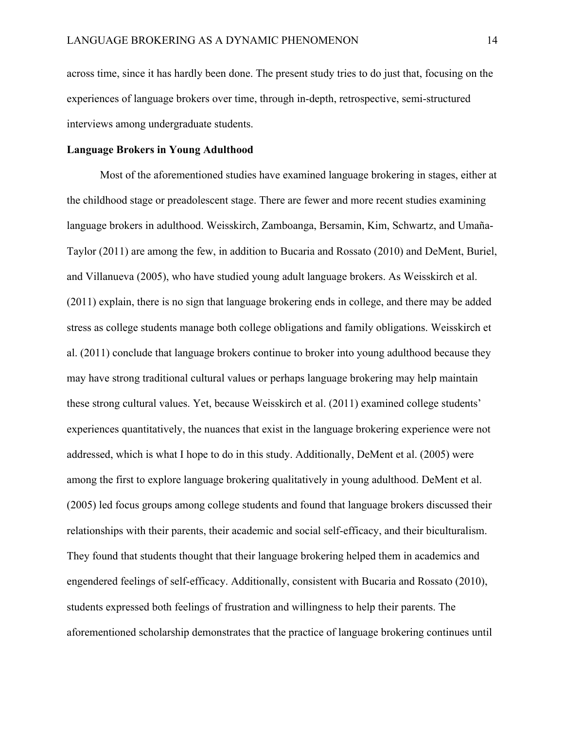across time, since it has hardly been done. The present study tries to do just that, focusing on the experiences of language brokers over time, through in-depth, retrospective, semi-structured interviews among undergraduate students.

# **Language Brokers in Young Adulthood**

Most of the aforementioned studies have examined language brokering in stages, either at the childhood stage or preadolescent stage. There are fewer and more recent studies examining language brokers in adulthood. Weisskirch, Zamboanga, Bersamin, Kim, Schwartz, and Umaña-Taylor (2011) are among the few, in addition to Bucaria and Rossato (2010) and DeMent, Buriel, and Villanueva (2005), who have studied young adult language brokers. As Weisskirch et al. (2011) explain, there is no sign that language brokering ends in college, and there may be added stress as college students manage both college obligations and family obligations. Weisskirch et al. (2011) conclude that language brokers continue to broker into young adulthood because they may have strong traditional cultural values or perhaps language brokering may help maintain these strong cultural values. Yet, because Weisskirch et al. (2011) examined college students' experiences quantitatively, the nuances that exist in the language brokering experience were not addressed, which is what I hope to do in this study. Additionally, DeMent et al. (2005) were among the first to explore language brokering qualitatively in young adulthood. DeMent et al. (2005) led focus groups among college students and found that language brokers discussed their relationships with their parents, their academic and social self-efficacy, and their biculturalism. They found that students thought that their language brokering helped them in academics and engendered feelings of self-efficacy. Additionally, consistent with Bucaria and Rossato (2010), students expressed both feelings of frustration and willingness to help their parents. The aforementioned scholarship demonstrates that the practice of language brokering continues until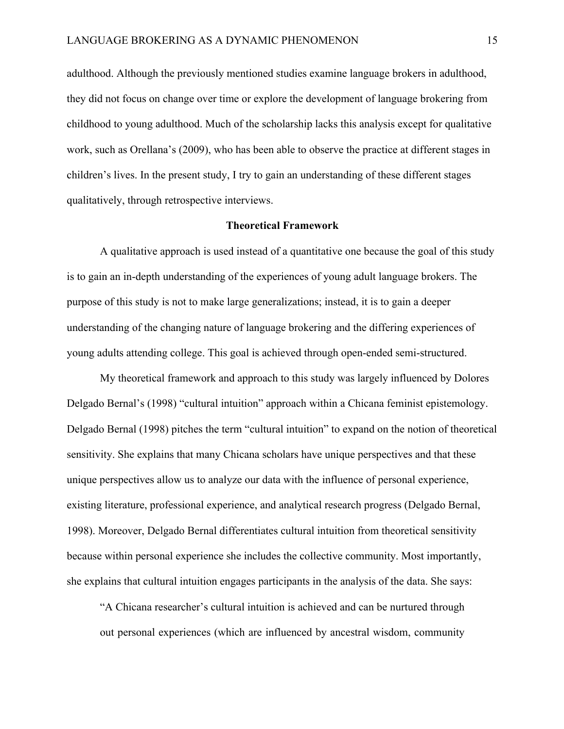adulthood. Although the previously mentioned studies examine language brokers in adulthood, they did not focus on change over time or explore the development of language brokering from childhood to young adulthood. Much of the scholarship lacks this analysis except for qualitative work, such as Orellana's (2009), who has been able to observe the practice at different stages in children's lives. In the present study, I try to gain an understanding of these different stages qualitatively, through retrospective interviews.

#### **Theoretical Framework**

A qualitative approach is used instead of a quantitative one because the goal of this study is to gain an in-depth understanding of the experiences of young adult language brokers. The purpose of this study is not to make large generalizations; instead, it is to gain a deeper understanding of the changing nature of language brokering and the differing experiences of young adults attending college. This goal is achieved through open-ended semi-structured.

My theoretical framework and approach to this study was largely influenced by Dolores Delgado Bernal's (1998) "cultural intuition" approach within a Chicana feminist epistemology. Delgado Bernal (1998) pitches the term "cultural intuition" to expand on the notion of theoretical sensitivity. She explains that many Chicana scholars have unique perspectives and that these unique perspectives allow us to analyze our data with the influence of personal experience, existing literature, professional experience, and analytical research progress (Delgado Bernal, 1998). Moreover, Delgado Bernal differentiates cultural intuition from theoretical sensitivity because within personal experience she includes the collective community. Most importantly, she explains that cultural intuition engages participants in the analysis of the data. She says:

"A Chicana researcher's cultural intuition is achieved and can be nurtured through out personal experiences (which are influenced by ancestral wisdom, community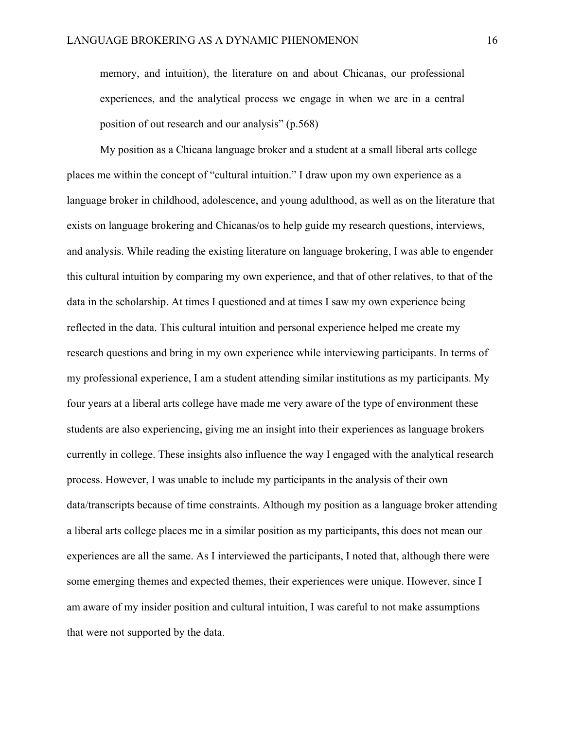memory, and intuition), the literature on and about Chicanas, our professional experiences, and the analytical process we engage in when we are in a central position of out research and our analysis" (p.568)

My position as a Chicana language broker and a student at a small liberal arts college places me within the concept of "cultural intuition." I draw upon my own experience as a language broker in childhood, adolescence, and young adulthood, as well as on the literature that exists on language brokering and Chicanas/os to help guide my research questions, interviews, and analysis. While reading the existing literature on language brokering, I was able to engender this cultural intuition by comparing my own experience, and that of other relatives, to that of the data in the scholarship. At times I questioned and at times I saw my own experience being reflected in the data. This cultural intuition and personal experience helped me create my research questions and bring in my own experience while interviewing participants. In terms of my professional experience, I am a student attending similar institutions as my participants. My four years at a liberal arts college have made me very aware of the type of environment these students are also experiencing, giving me an insight into their experiences as language brokers currently in college. These insights also influence the way I engaged with the analytical research process. However, I was unable to include my participants in the analysis of their own data/transcripts because of time constraints. Although my position as a language broker attending a liberal arts college places me in a similar position as my participants, this does not mean our experiences are all the same. As I interviewed the participants, I noted that, although there were some emerging themes and expected themes, their experiences were unique. However, since I am aware of my insider position and cultural intuition, I was careful to not make assumptions that were not supported by the data.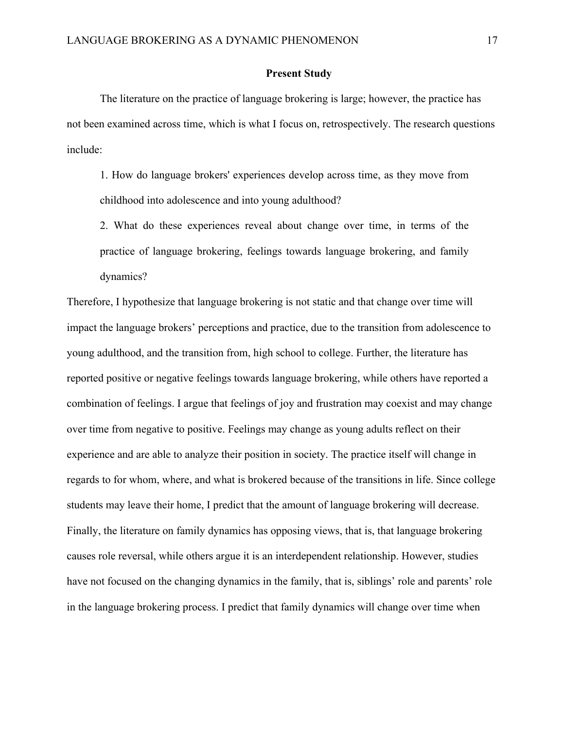### **Present Study**

The literature on the practice of language brokering is large; however, the practice has not been examined across time, which is what I focus on, retrospectively. The research questions include:

1. How do language brokers' experiences develop across time, as they move from childhood into adolescence and into young adulthood?

2. What do these experiences reveal about change over time, in terms of the practice of language brokering, feelings towards language brokering, and family dynamics?

Therefore, I hypothesize that language brokering is not static and that change over time will impact the language brokers' perceptions and practice, due to the transition from adolescence to young adulthood, and the transition from, high school to college. Further, the literature has reported positive or negative feelings towards language brokering, while others have reported a combination of feelings. I argue that feelings of joy and frustration may coexist and may change over time from negative to positive. Feelings may change as young adults reflect on their experience and are able to analyze their position in society. The practice itself will change in regards to for whom, where, and what is brokered because of the transitions in life. Since college students may leave their home, I predict that the amount of language brokering will decrease. Finally, the literature on family dynamics has opposing views, that is, that language brokering causes role reversal, while others argue it is an interdependent relationship. However, studies have not focused on the changing dynamics in the family, that is, siblings' role and parents' role in the language brokering process. I predict that family dynamics will change over time when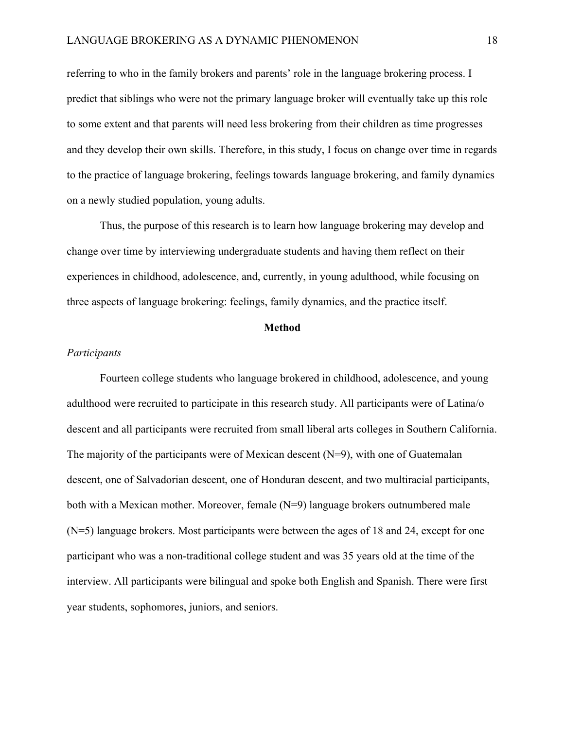referring to who in the family brokers and parents' role in the language brokering process. I predict that siblings who were not the primary language broker will eventually take up this role to some extent and that parents will need less brokering from their children as time progresses and they develop their own skills. Therefore, in this study, I focus on change over time in regards to the practice of language brokering, feelings towards language brokering, and family dynamics on a newly studied population, young adults.

Thus, the purpose of this research is to learn how language brokering may develop and change over time by interviewing undergraduate students and having them reflect on their experiences in childhood, adolescence, and, currently, in young adulthood, while focusing on three aspects of language brokering: feelings, family dynamics, and the practice itself.

#### **Method**

#### *Participants*

Fourteen college students who language brokered in childhood, adolescence, and young adulthood were recruited to participate in this research study. All participants were of Latina/o descent and all participants were recruited from small liberal arts colleges in Southern California. The majority of the participants were of Mexican descent (N=9), with one of Guatemalan descent, one of Salvadorian descent, one of Honduran descent, and two multiracial participants, both with a Mexican mother. Moreover, female (N=9) language brokers outnumbered male  $(N=5)$  language brokers. Most participants were between the ages of 18 and 24, except for one participant who was a non-traditional college student and was 35 years old at the time of the interview. All participants were bilingual and spoke both English and Spanish. There were first year students, sophomores, juniors, and seniors.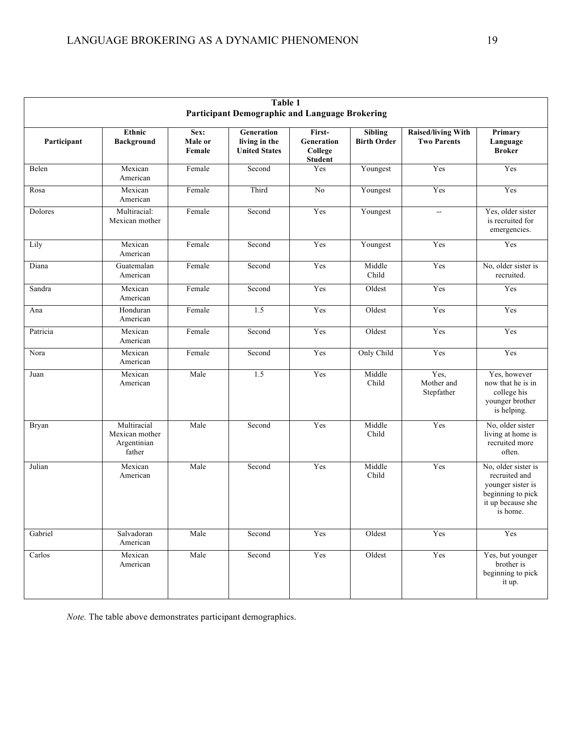| Table 1                                               |                                                        |                           |                                                     |                                                   |                                      |                                                 |                                                                                                                 |
|-------------------------------------------------------|--------------------------------------------------------|---------------------------|-----------------------------------------------------|---------------------------------------------------|--------------------------------------|-------------------------------------------------|-----------------------------------------------------------------------------------------------------------------|
| <b>Participant Demographic and Language Brokering</b> |                                                        |                           |                                                     |                                                   |                                      |                                                 |                                                                                                                 |
| Participant                                           | Ethnic<br><b>Background</b>                            | Sex:<br>Male or<br>Female | Generation<br>living in the<br><b>United States</b> | First-<br>Generation<br>College<br><b>Student</b> | <b>Sibling</b><br><b>Birth Order</b> | <b>Raised/living With</b><br><b>Two Parents</b> | Primary<br>Language<br><b>Broker</b>                                                                            |
| Belen                                                 | Mexican<br>American                                    | Female                    | Second                                              | Yes                                               | Youngest                             | Yes                                             | Yes                                                                                                             |
| Rosa                                                  | Mexican<br>American                                    | Female                    | Third                                               | $\rm No$                                          | Youngest                             | Yes                                             | Yes                                                                                                             |
| Dolores                                               | Multiracial:<br>Mexican mother                         | Female                    | Second                                              | Yes                                               | Youngest                             | $\sim$                                          | Yes, older sister<br>is recruited for<br>emergencies.                                                           |
| Lily                                                  | Mexican<br>American                                    | Female                    | Second                                              | Yes                                               | Youngest                             | Yes                                             | Yes                                                                                                             |
| Diana                                                 | Guatemalan<br>American                                 | Female                    | Second                                              | Yes                                               | Middle<br>Child                      | Yes                                             | No, older sister is<br>recruited.                                                                               |
| Sandra                                                | Mexican<br>American                                    | Female                    | Second                                              | Yes                                               | Oldest                               | Yes                                             | Yes                                                                                                             |
| Ana                                                   | Honduran<br>American                                   | Female                    | 1.5                                                 | Yes                                               | Oldest                               | Yes                                             | Yes                                                                                                             |
| Patricia                                              | Mexican<br>American                                    | Female                    | Second                                              | Yes                                               | Oldest                               | Yes                                             | Yes                                                                                                             |
| Nora                                                  | Mexican<br>American                                    | Female                    | Second                                              | Yes                                               | Only Child                           | Yes                                             | Yes                                                                                                             |
| Juan                                                  | Mexican<br>American                                    | Male                      | 1.5                                                 | Yes                                               | Middle<br>Child                      | Yes,<br>Mother and<br>Stepfather                | Yes, however<br>now that he is in<br>college his<br>younger brother<br>is helping.                              |
| Bryan                                                 | Multiracial<br>Mexican mother<br>Argentinian<br>father | Male                      | Second                                              | Yes                                               | Middle<br>Child                      | Yes                                             | No, older sister<br>living at home is<br>recruited more<br>often.                                               |
| Julian                                                | Mexican<br>American                                    | Male                      | Second                                              | Yes                                               | Middle<br>Child                      | Yes                                             | No, older sister is<br>recruited and<br>younger sister is<br>beginning to pick<br>it up because she<br>is home. |
| Gabriel                                               | Salvadoran<br>American                                 | Male                      | Second                                              | Yes                                               | Oldest                               | Yes                                             | Yes                                                                                                             |
| Carlos                                                | Mexican<br>American                                    | Male                      | Second                                              | Yes                                               | Oldest                               | Yes                                             | Yes, but younger<br>brother is<br>beginning to pick<br>it up.                                                   |

*Note.* The table above demonstrates participant demographics.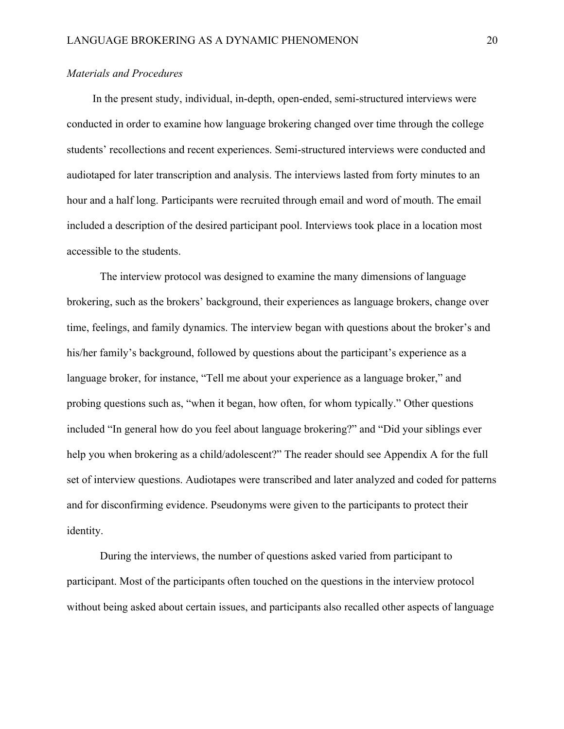## *Materials and Procedures*

In the present study, individual, in-depth, open-ended, semi-structured interviews were conducted in order to examine how language brokering changed over time through the college students' recollections and recent experiences. Semi-structured interviews were conducted and audiotaped for later transcription and analysis. The interviews lasted from forty minutes to an hour and a half long. Participants were recruited through email and word of mouth. The email included a description of the desired participant pool. Interviews took place in a location most accessible to the students.

The interview protocol was designed to examine the many dimensions of language brokering, such as the brokers' background, their experiences as language brokers, change over time, feelings, and family dynamics. The interview began with questions about the broker's and his/her family's background, followed by questions about the participant's experience as a language broker, for instance, "Tell me about your experience as a language broker," and probing questions such as, "when it began, how often, for whom typically." Other questions included "In general how do you feel about language brokering?" and "Did your siblings ever help you when brokering as a child/adolescent?" The reader should see Appendix A for the full set of interview questions. Audiotapes were transcribed and later analyzed and coded for patterns and for disconfirming evidence. Pseudonyms were given to the participants to protect their identity.

During the interviews, the number of questions asked varied from participant to participant. Most of the participants often touched on the questions in the interview protocol without being asked about certain issues, and participants also recalled other aspects of language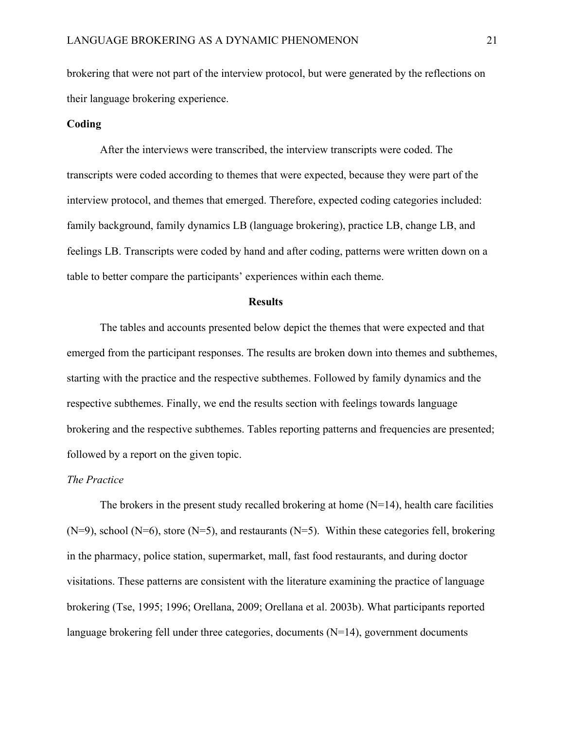brokering that were not part of the interview protocol, but were generated by the reflections on their language brokering experience.

#### **Coding**

After the interviews were transcribed, the interview transcripts were coded. The transcripts were coded according to themes that were expected, because they were part of the interview protocol, and themes that emerged. Therefore, expected coding categories included: family background, family dynamics LB (language brokering), practice LB, change LB, and feelings LB. Transcripts were coded by hand and after coding, patterns were written down on a table to better compare the participants' experiences within each theme.

#### **Results**

The tables and accounts presented below depict the themes that were expected and that emerged from the participant responses. The results are broken down into themes and subthemes, starting with the practice and the respective subthemes. Followed by family dynamics and the respective subthemes. Finally, we end the results section with feelings towards language brokering and the respective subthemes. Tables reporting patterns and frequencies are presented; followed by a report on the given topic.

#### *The Practice*

The brokers in the present study recalled brokering at home  $(N=14)$ , health care facilities  $(N=9)$ , school  $(N=6)$ , store  $(N=5)$ , and restaurants  $(N=5)$ . Within these categories fell, brokering in the pharmacy, police station, supermarket, mall, fast food restaurants, and during doctor visitations. These patterns are consistent with the literature examining the practice of language brokering (Tse, 1995; 1996; Orellana, 2009; Orellana et al. 2003b). What participants reported language brokering fell under three categories, documents (N=14), government documents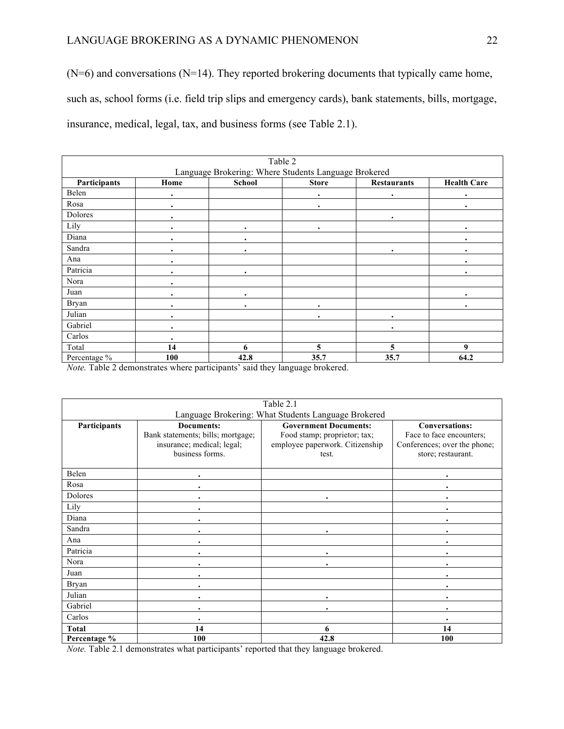# LANGUAGE BROKERING AS A DYNAMIC PHENOMENON 22

 $(N=6)$  and conversations  $(N=14)$ . They reported brokering documents that typically came home, such as, school forms (i.e. field trip slips and emergency cards), bank statements, bills, mortgage, insurance, medical, legal, tax, and business forms (see Table 2.1).

|                                                      |           | Table 2       |              |                    |                    |  |
|------------------------------------------------------|-----------|---------------|--------------|--------------------|--------------------|--|
| Language Brokering: Where Students Language Brokered |           |               |              |                    |                    |  |
| Participants                                         | Home      | <b>School</b> | <b>Store</b> | <b>Restaurants</b> | <b>Health Care</b> |  |
| Belen                                                | $\bullet$ |               |              | ٠                  |                    |  |
| Rosa                                                 | $\bullet$ |               | $\bullet$    |                    | ٠                  |  |
| Dolores                                              | ٠         |               |              | ٠                  |                    |  |
| Lily                                                 | $\bullet$ | ٠             | $\bullet$    |                    | ٠                  |  |
| Diana                                                | $\bullet$ | ٠             |              |                    | ٠                  |  |
| Sandra                                               | $\bullet$ | ٠             |              | ٠                  | ٠                  |  |
| Ana                                                  | $\bullet$ |               |              |                    | ٠                  |  |
| Patricia                                             | $\bullet$ | ٠             |              |                    | ٠                  |  |
| Nora                                                 | $\bullet$ |               |              |                    |                    |  |
| Juan                                                 | $\bullet$ | ٠             |              |                    | ٠                  |  |
| <b>Bryan</b>                                         | $\bullet$ | ٠             | $\bullet$    |                    | ٠                  |  |
| Julian                                               | $\bullet$ |               | $\bullet$    | ٠                  |                    |  |
| Gabriel                                              | $\bullet$ |               |              | ٠                  |                    |  |
| Carlos                                               | $\bullet$ |               |              |                    |                    |  |
| Total                                                | 14        | 6             | 5            | 5                  | 9                  |  |
| Percentage %                                         | 100       | 42.8          | 35.7         | 35.7               | 64.2               |  |

*Note.* Table 2 demonstrates where participants' said they language brokered.

| Table 2.1                                           |                                                                                                         |                                                                                                          |                                                                                                         |  |  |  |
|-----------------------------------------------------|---------------------------------------------------------------------------------------------------------|----------------------------------------------------------------------------------------------------------|---------------------------------------------------------------------------------------------------------|--|--|--|
| Language Brokering: What Students Language Brokered |                                                                                                         |                                                                                                          |                                                                                                         |  |  |  |
| Participants                                        | <b>Documents:</b><br>Bank statements; bills; mortgage;<br>insurance; medical; legal;<br>business forms. | <b>Government Documents:</b><br>Food stamp; proprietor; tax;<br>employee paperwork. Citizenship<br>test. | <b>Conversations:</b><br>Face to face encounters;<br>Conferences; over the phone;<br>store; restaurant. |  |  |  |
| Belen                                               |                                                                                                         |                                                                                                          |                                                                                                         |  |  |  |
| Rosa                                                |                                                                                                         |                                                                                                          |                                                                                                         |  |  |  |
| Dolores                                             |                                                                                                         |                                                                                                          |                                                                                                         |  |  |  |
| Lily                                                |                                                                                                         |                                                                                                          |                                                                                                         |  |  |  |
| Diana                                               |                                                                                                         |                                                                                                          |                                                                                                         |  |  |  |
| Sandra                                              |                                                                                                         |                                                                                                          |                                                                                                         |  |  |  |
| Ana                                                 |                                                                                                         |                                                                                                          |                                                                                                         |  |  |  |
| Patricia                                            |                                                                                                         |                                                                                                          |                                                                                                         |  |  |  |
| Nora                                                |                                                                                                         |                                                                                                          |                                                                                                         |  |  |  |
| Juan                                                |                                                                                                         |                                                                                                          |                                                                                                         |  |  |  |
| Bryan                                               | ٠                                                                                                       |                                                                                                          | $\bullet$                                                                                               |  |  |  |
| Julian                                              |                                                                                                         |                                                                                                          |                                                                                                         |  |  |  |
| Gabriel                                             |                                                                                                         |                                                                                                          |                                                                                                         |  |  |  |
| Carlos                                              | $\bullet$                                                                                               |                                                                                                          |                                                                                                         |  |  |  |
| Total                                               | 14                                                                                                      | 6                                                                                                        | 14                                                                                                      |  |  |  |
| Percentage %                                        | 100                                                                                                     | 42.8                                                                                                     | 100                                                                                                     |  |  |  |

*Note.* Table 2.1 demonstrates what participants' reported that they language brokered.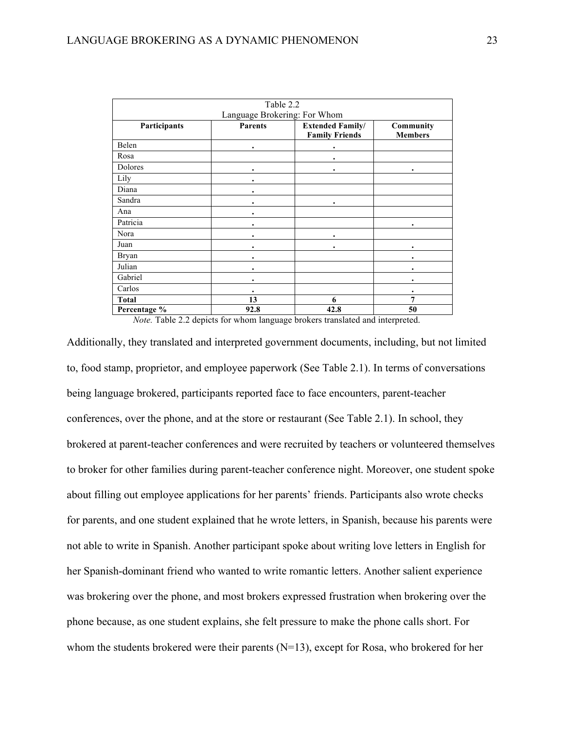| Table 2.2                    |                |                                                  |                             |  |  |  |
|------------------------------|----------------|--------------------------------------------------|-----------------------------|--|--|--|
| Language Brokering: For Whom |                |                                                  |                             |  |  |  |
| Participants                 | <b>Parents</b> | <b>Extended Family/</b><br><b>Family Friends</b> | Community<br><b>Members</b> |  |  |  |
| Belen                        |                |                                                  |                             |  |  |  |
| Rosa                         |                |                                                  |                             |  |  |  |
| Dolores                      |                |                                                  | ٠                           |  |  |  |
| Lily                         |                |                                                  |                             |  |  |  |
| Diana                        |                |                                                  |                             |  |  |  |
| Sandra                       |                |                                                  |                             |  |  |  |
| Ana                          |                |                                                  |                             |  |  |  |
| Patricia                     |                |                                                  |                             |  |  |  |
| Nora                         |                |                                                  |                             |  |  |  |
| Juan                         |                |                                                  |                             |  |  |  |
| <b>Bryan</b>                 |                |                                                  |                             |  |  |  |
| Julian                       |                |                                                  |                             |  |  |  |
| Gabriel                      |                |                                                  |                             |  |  |  |
| Carlos                       |                |                                                  |                             |  |  |  |
| <b>Total</b>                 | 13             | 6                                                | 7                           |  |  |  |
| Percentage %                 | 92.8<br>$\sim$ | 42.8<br>$\sim$ $\sim$                            | 50                          |  |  |  |

*Note.* Table 2.2 depicts for whom language brokers translated and interpreted.

Additionally, they translated and interpreted government documents, including, but not limited to, food stamp, proprietor, and employee paperwork (See Table 2.1). In terms of conversations being language brokered, participants reported face to face encounters, parent-teacher conferences, over the phone, and at the store or restaurant (See Table 2.1). In school, they brokered at parent-teacher conferences and were recruited by teachers or volunteered themselves to broker for other families during parent-teacher conference night. Moreover, one student spoke about filling out employee applications for her parents' friends. Participants also wrote checks for parents, and one student explained that he wrote letters, in Spanish, because his parents were not able to write in Spanish. Another participant spoke about writing love letters in English for her Spanish-dominant friend who wanted to write romantic letters. Another salient experience was brokering over the phone, and most brokers expressed frustration when brokering over the phone because, as one student explains, she felt pressure to make the phone calls short. For whom the students brokered were their parents  $(N=13)$ , except for Rosa, who brokered for her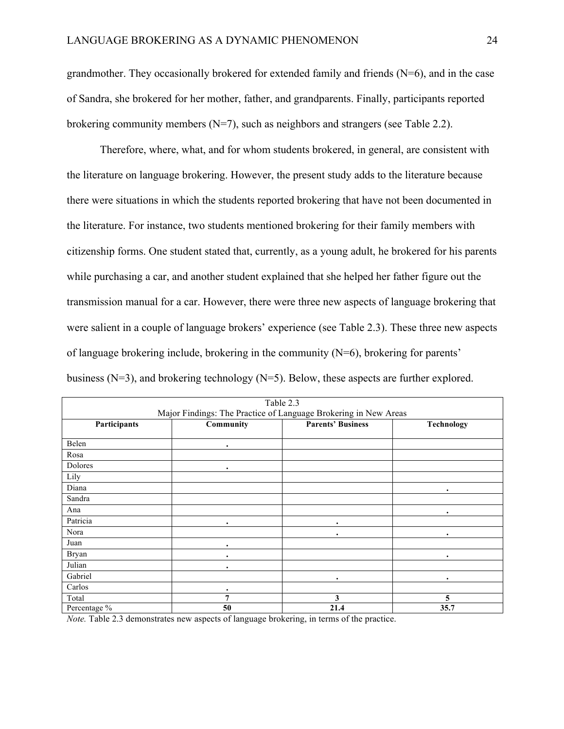grandmother. They occasionally brokered for extended family and friends (N=6), and in the case of Sandra, she brokered for her mother, father, and grandparents. Finally, participants reported brokering community members  $(N=7)$ , such as neighbors and strangers (see Table 2.2).

Therefore, where, what, and for whom students brokered, in general, are consistent with the literature on language brokering. However, the present study adds to the literature because there were situations in which the students reported brokering that have not been documented in the literature. For instance, two students mentioned brokering for their family members with citizenship forms. One student stated that, currently, as a young adult, he brokered for his parents while purchasing a car, and another student explained that she helped her father figure out the transmission manual for a car. However, there were three new aspects of language brokering that were salient in a couple of language brokers' experience (see Table 2.3). These three new aspects of language brokering include, brokering in the community (N=6), brokering for parents' business (N=3), and brokering technology (N=5). Below, these aspects are further explored.

|                                                                 |           | Table 2.3                |            |  |  |  |
|-----------------------------------------------------------------|-----------|--------------------------|------------|--|--|--|
| Major Findings: The Practice of Language Brokering in New Areas |           |                          |            |  |  |  |
| Participants                                                    | Community | <b>Parents' Business</b> | Technology |  |  |  |
|                                                                 |           |                          |            |  |  |  |
| Belen                                                           | ٠         |                          |            |  |  |  |
| Rosa                                                            |           |                          |            |  |  |  |
| Dolores                                                         | ٠         |                          |            |  |  |  |
| Lily                                                            |           |                          |            |  |  |  |
| Diana                                                           |           |                          | ٠          |  |  |  |
| Sandra                                                          |           |                          |            |  |  |  |
| Ana                                                             |           |                          | ٠          |  |  |  |
| Patricia                                                        |           |                          |            |  |  |  |
| Nora                                                            |           |                          | ٠          |  |  |  |
| Juan                                                            |           |                          |            |  |  |  |
| Bryan                                                           |           |                          | ٠          |  |  |  |
| Julian                                                          | $\bullet$ |                          |            |  |  |  |
| Gabriel                                                         |           |                          | ٠          |  |  |  |
| Carlos                                                          | ٠         |                          |            |  |  |  |
| Total                                                           | 7         | 3                        | 5          |  |  |  |
| Percentage %                                                    | 50        | 21.4                     | 35.7       |  |  |  |

*Note.* Table 2.3 demonstrates new aspects of language brokering, in terms of the practice.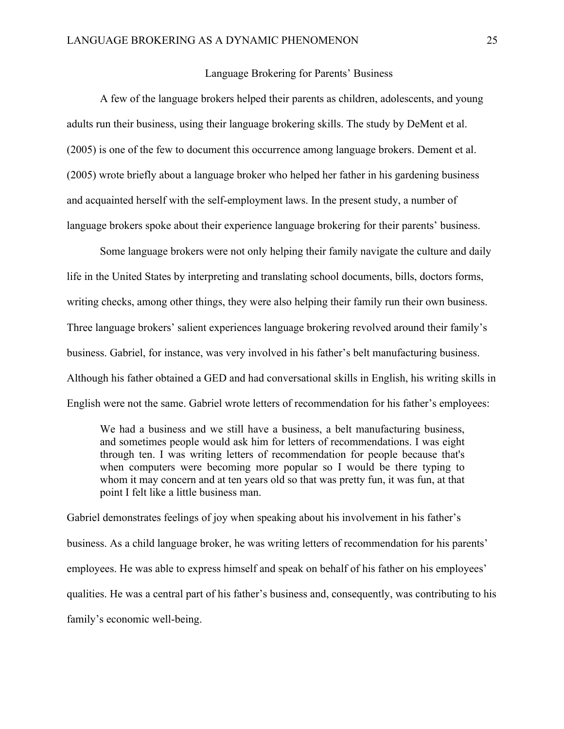#### Language Brokering for Parents' Business

A few of the language brokers helped their parents as children, adolescents, and young adults run their business, using their language brokering skills. The study by DeMent et al. (2005) is one of the few to document this occurrence among language brokers. Dement et al. (2005) wrote briefly about a language broker who helped her father in his gardening business and acquainted herself with the self-employment laws. In the present study, a number of language brokers spoke about their experience language brokering for their parents' business.

Some language brokers were not only helping their family navigate the culture and daily life in the United States by interpreting and translating school documents, bills, doctors forms, writing checks, among other things, they were also helping their family run their own business. Three language brokers' salient experiences language brokering revolved around their family's business. Gabriel, for instance, was very involved in his father's belt manufacturing business. Although his father obtained a GED and had conversational skills in English, his writing skills in English were not the same. Gabriel wrote letters of recommendation for his father's employees:

We had a business and we still have a business, a belt manufacturing business, and sometimes people would ask him for letters of recommendations. I was eight through ten. I was writing letters of recommendation for people because that's when computers were becoming more popular so I would be there typing to whom it may concern and at ten years old so that was pretty fun, it was fun, at that point I felt like a little business man.

Gabriel demonstrates feelings of joy when speaking about his involvement in his father's business. As a child language broker, he was writing letters of recommendation for his parents' employees. He was able to express himself and speak on behalf of his father on his employees' qualities. He was a central part of his father's business and, consequently, was contributing to his family's economic well-being.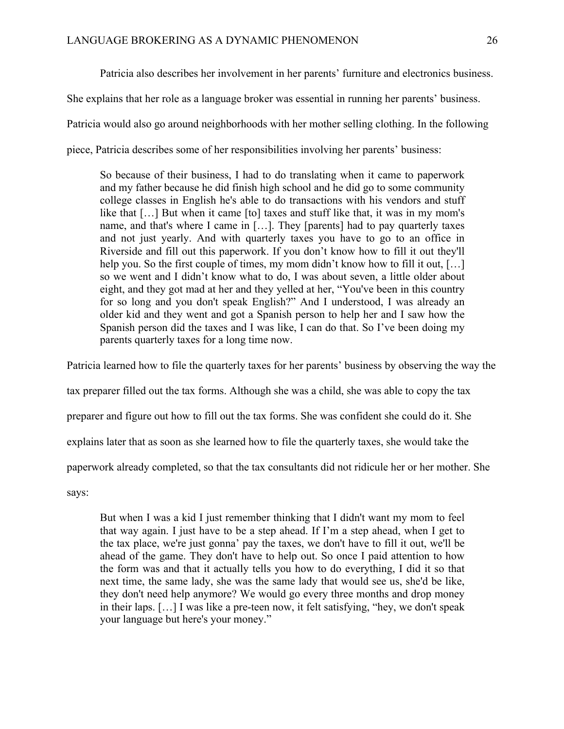Patricia also describes her involvement in her parents' furniture and electronics business. She explains that her role as a language broker was essential in running her parents' business. Patricia would also go around neighborhoods with her mother selling clothing. In the following piece, Patricia describes some of her responsibilities involving her parents' business:

So because of their business, I had to do translating when it came to paperwork and my father because he did finish high school and he did go to some community college classes in English he's able to do transactions with his vendors and stuff like that […] But when it came [to] taxes and stuff like that, it was in my mom's name, and that's where I came in […]. They [parents] had to pay quarterly taxes and not just yearly. And with quarterly taxes you have to go to an office in Riverside and fill out this paperwork. If you don't know how to fill it out they'll help you. So the first couple of times, my mom didn't know how to fill it out, [...] so we went and I didn't know what to do, I was about seven, a little older about eight, and they got mad at her and they yelled at her, "You've been in this country for so long and you don't speak English?" And I understood, I was already an older kid and they went and got a Spanish person to help her and I saw how the Spanish person did the taxes and I was like, I can do that. So I've been doing my parents quarterly taxes for a long time now.

Patricia learned how to file the quarterly taxes for her parents' business by observing the way the tax preparer filled out the tax forms. Although she was a child, she was able to copy the tax preparer and figure out how to fill out the tax forms. She was confident she could do it. She explains later that as soon as she learned how to file the quarterly taxes, she would take the paperwork already completed, so that the tax consultants did not ridicule her or her mother. She

says:

But when I was a kid I just remember thinking that I didn't want my mom to feel that way again. I just have to be a step ahead. If I'm a step ahead, when I get to the tax place, we're just gonna' pay the taxes, we don't have to fill it out, we'll be ahead of the game. They don't have to help out. So once I paid attention to how the form was and that it actually tells you how to do everything, I did it so that next time, the same lady, she was the same lady that would see us, she'd be like, they don't need help anymore? We would go every three months and drop money in their laps. […] I was like a pre-teen now, it felt satisfying, "hey, we don't speak your language but here's your money."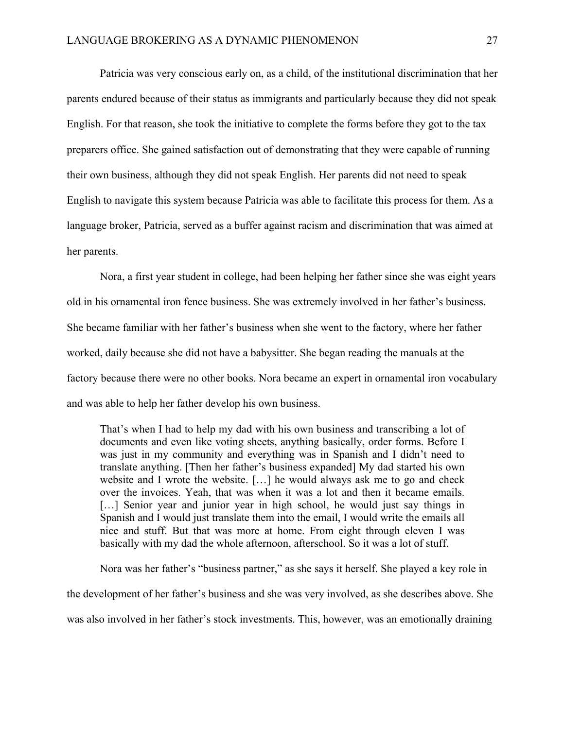Patricia was very conscious early on, as a child, of the institutional discrimination that her parents endured because of their status as immigrants and particularly because they did not speak English. For that reason, she took the initiative to complete the forms before they got to the tax preparers office. She gained satisfaction out of demonstrating that they were capable of running their own business, although they did not speak English. Her parents did not need to speak English to navigate this system because Patricia was able to facilitate this process for them. As a language broker, Patricia, served as a buffer against racism and discrimination that was aimed at her parents.

Nora, a first year student in college, had been helping her father since she was eight years old in his ornamental iron fence business. She was extremely involved in her father's business. She became familiar with her father's business when she went to the factory, where her father worked, daily because she did not have a babysitter. She began reading the manuals at the factory because there were no other books. Nora became an expert in ornamental iron vocabulary and was able to help her father develop his own business.

That's when I had to help my dad with his own business and transcribing a lot of documents and even like voting sheets, anything basically, order forms. Before I was just in my community and everything was in Spanish and I didn't need to translate anything. [Then her father's business expanded] My dad started his own website and I wrote the website. […] he would always ask me to go and check over the invoices. Yeah, that was when it was a lot and then it became emails. [...] Senior year and junior year in high school, he would just say things in Spanish and I would just translate them into the email, I would write the emails all nice and stuff. But that was more at home. From eight through eleven I was basically with my dad the whole afternoon, afterschool. So it was a lot of stuff.

Nora was her father's "business partner," as she says it herself. She played a key role in the development of her father's business and she was very involved, as she describes above. She was also involved in her father's stock investments. This, however, was an emotionally draining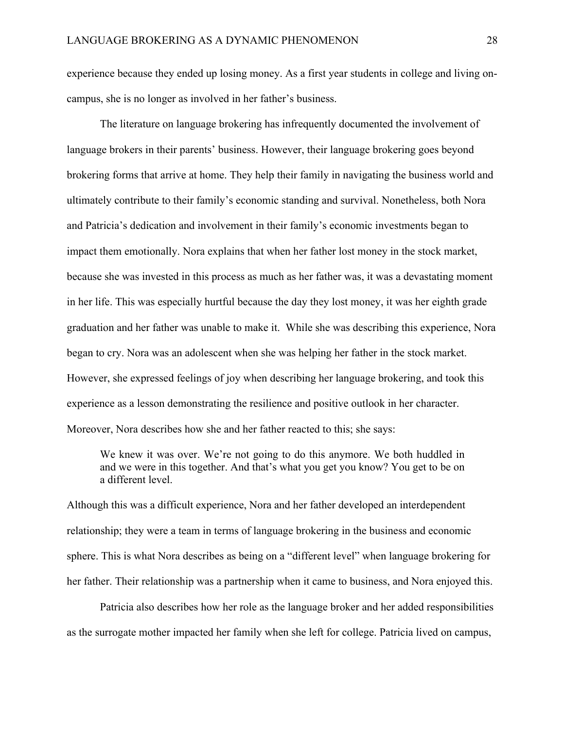experience because they ended up losing money. As a first year students in college and living oncampus, she is no longer as involved in her father's business.

The literature on language brokering has infrequently documented the involvement of language brokers in their parents' business. However, their language brokering goes beyond brokering forms that arrive at home. They help their family in navigating the business world and ultimately contribute to their family's economic standing and survival. Nonetheless, both Nora and Patricia's dedication and involvement in their family's economic investments began to impact them emotionally. Nora explains that when her father lost money in the stock market, because she was invested in this process as much as her father was, it was a devastating moment in her life. This was especially hurtful because the day they lost money, it was her eighth grade graduation and her father was unable to make it. While she was describing this experience, Nora began to cry. Nora was an adolescent when she was helping her father in the stock market. However, she expressed feelings of joy when describing her language brokering, and took this experience as a lesson demonstrating the resilience and positive outlook in her character. Moreover, Nora describes how she and her father reacted to this; she says:

We knew it was over. We're not going to do this anymore. We both huddled in and we were in this together. And that's what you get you know? You get to be on a different level.

Although this was a difficult experience, Nora and her father developed an interdependent relationship; they were a team in terms of language brokering in the business and economic sphere. This is what Nora describes as being on a "different level" when language brokering for her father. Their relationship was a partnership when it came to business, and Nora enjoyed this.

Patricia also describes how her role as the language broker and her added responsibilities as the surrogate mother impacted her family when she left for college. Patricia lived on campus,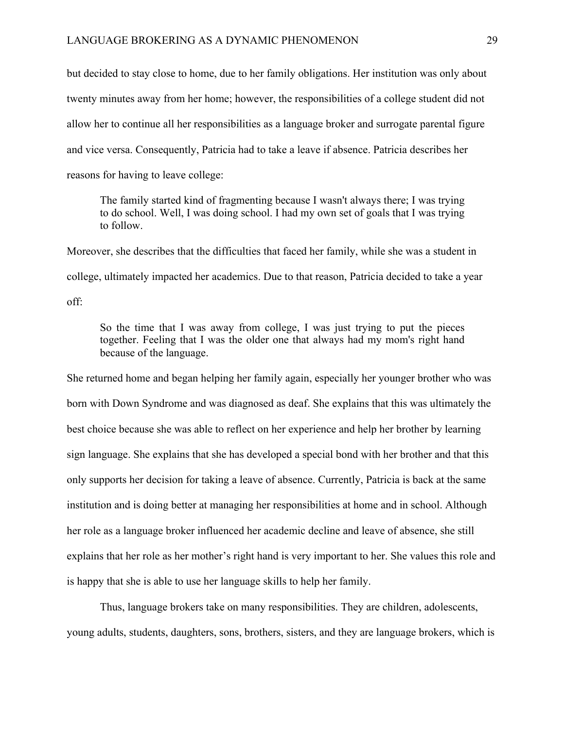but decided to stay close to home, due to her family obligations. Her institution was only about twenty minutes away from her home; however, the responsibilities of a college student did not allow her to continue all her responsibilities as a language broker and surrogate parental figure and vice versa. Consequently, Patricia had to take a leave if absence. Patricia describes her reasons for having to leave college:

The family started kind of fragmenting because I wasn't always there; I was trying to do school. Well, I was doing school. I had my own set of goals that I was trying to follow.

Moreover, she describes that the difficulties that faced her family, while she was a student in college, ultimately impacted her academics. Due to that reason, Patricia decided to take a year off:

So the time that I was away from college, I was just trying to put the pieces together. Feeling that I was the older one that always had my mom's right hand because of the language.

She returned home and began helping her family again, especially her younger brother who was born with Down Syndrome and was diagnosed as deaf. She explains that this was ultimately the best choice because she was able to reflect on her experience and help her brother by learning sign language. She explains that she has developed a special bond with her brother and that this only supports her decision for taking a leave of absence. Currently, Patricia is back at the same institution and is doing better at managing her responsibilities at home and in school. Although her role as a language broker influenced her academic decline and leave of absence, she still explains that her role as her mother's right hand is very important to her. She values this role and is happy that she is able to use her language skills to help her family.

Thus, language brokers take on many responsibilities. They are children, adolescents, young adults, students, daughters, sons, brothers, sisters, and they are language brokers, which is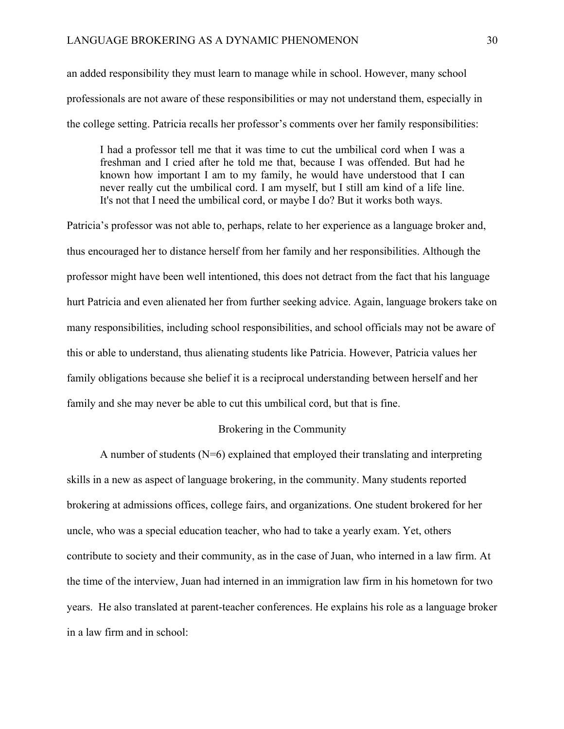an added responsibility they must learn to manage while in school. However, many school professionals are not aware of these responsibilities or may not understand them, especially in the college setting. Patricia recalls her professor's comments over her family responsibilities:

I had a professor tell me that it was time to cut the umbilical cord when I was a freshman and I cried after he told me that, because I was offended. But had he known how important I am to my family, he would have understood that I can never really cut the umbilical cord. I am myself, but I still am kind of a life line. It's not that I need the umbilical cord, or maybe I do? But it works both ways.

Patricia's professor was not able to, perhaps, relate to her experience as a language broker and, thus encouraged her to distance herself from her family and her responsibilities. Although the professor might have been well intentioned, this does not detract from the fact that his language hurt Patricia and even alienated her from further seeking advice. Again, language brokers take on many responsibilities, including school responsibilities, and school officials may not be aware of this or able to understand, thus alienating students like Patricia. However, Patricia values her family obligations because she belief it is a reciprocal understanding between herself and her family and she may never be able to cut this umbilical cord, but that is fine.

### Brokering in the Community

A number of students (N=6) explained that employed their translating and interpreting skills in a new as aspect of language brokering, in the community. Many students reported brokering at admissions offices, college fairs, and organizations. One student brokered for her uncle, who was a special education teacher, who had to take a yearly exam. Yet, others contribute to society and their community, as in the case of Juan, who interned in a law firm. At the time of the interview, Juan had interned in an immigration law firm in his hometown for two years. He also translated at parent-teacher conferences. He explains his role as a language broker in a law firm and in school: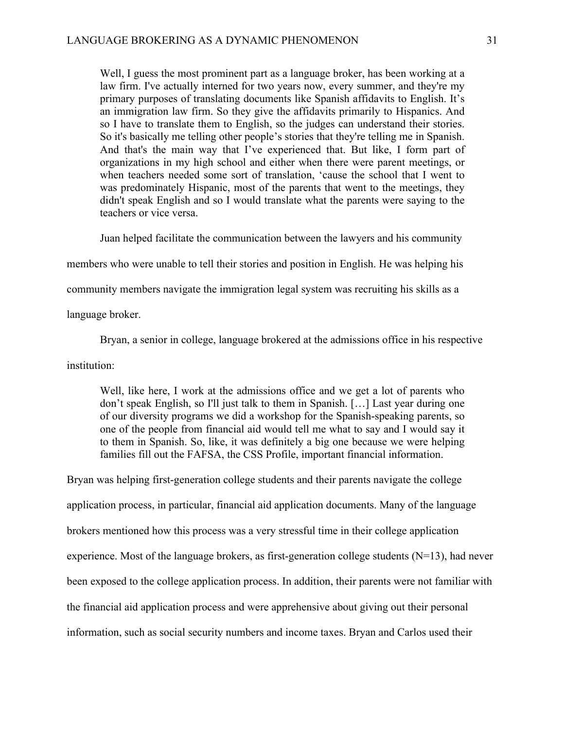Well, I guess the most prominent part as a language broker, has been working at a law firm. I've actually interned for two years now, every summer, and they're my primary purposes of translating documents like Spanish affidavits to English. It's an immigration law firm. So they give the affidavits primarily to Hispanics. And so I have to translate them to English, so the judges can understand their stories. So it's basically me telling other people's stories that they're telling me in Spanish. And that's the main way that I've experienced that. But like, I form part of organizations in my high school and either when there were parent meetings, or when teachers needed some sort of translation, 'cause the school that I went to was predominately Hispanic, most of the parents that went to the meetings, they didn't speak English and so I would translate what the parents were saying to the teachers or vice versa.

Juan helped facilitate the communication between the lawyers and his community

members who were unable to tell their stories and position in English. He was helping his

community members navigate the immigration legal system was recruiting his skills as a

language broker.

Bryan, a senior in college, language brokered at the admissions office in his respective

institution:

Well, like here, I work at the admissions office and we get a lot of parents who don't speak English, so I'll just talk to them in Spanish. […] Last year during one of our diversity programs we did a workshop for the Spanish-speaking parents, so one of the people from financial aid would tell me what to say and I would say it to them in Spanish. So, like, it was definitely a big one because we were helping families fill out the FAFSA, the CSS Profile, important financial information.

Bryan was helping first-generation college students and their parents navigate the college application process, in particular, financial aid application documents. Many of the language brokers mentioned how this process was a very stressful time in their college application experience. Most of the language brokers, as first-generation college students (N=13), had never been exposed to the college application process. In addition, their parents were not familiar with the financial aid application process and were apprehensive about giving out their personal information, such as social security numbers and income taxes. Bryan and Carlos used their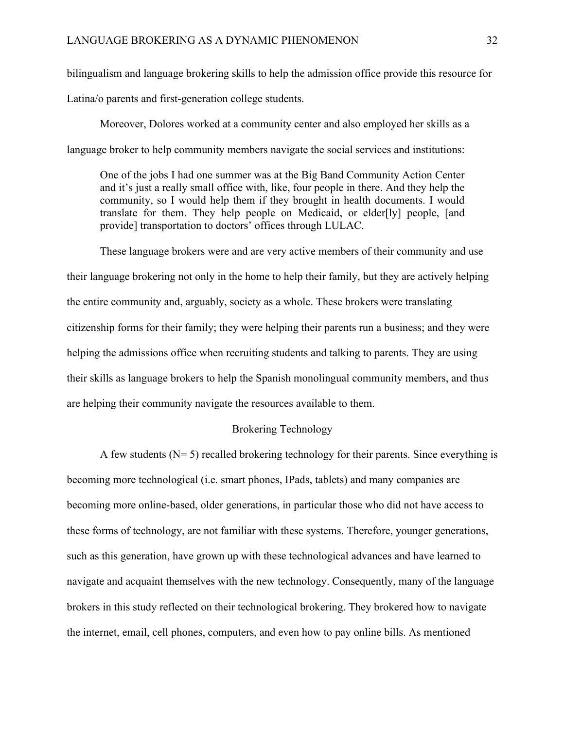bilingualism and language brokering skills to help the admission office provide this resource for

Latina/o parents and first-generation college students.

Moreover, Dolores worked at a community center and also employed her skills as a language broker to help community members navigate the social services and institutions:

One of the jobs I had one summer was at the Big Band Community Action Center and it's just a really small office with, like, four people in there. And they help the community, so I would help them if they brought in health documents. I would translate for them. They help people on Medicaid, or elder[ly] people, [and provide] transportation to doctors' offices through LULAC.

These language brokers were and are very active members of their community and use their language brokering not only in the home to help their family, but they are actively helping the entire community and, arguably, society as a whole. These brokers were translating citizenship forms for their family; they were helping their parents run a business; and they were helping the admissions office when recruiting students and talking to parents. They are using their skills as language brokers to help the Spanish monolingual community members, and thus are helping their community navigate the resources available to them.

### Brokering Technology

A few students  $(N= 5)$  recalled brokering technology for their parents. Since everything is becoming more technological (i.e. smart phones, IPads, tablets) and many companies are becoming more online-based, older generations, in particular those who did not have access to these forms of technology, are not familiar with these systems. Therefore, younger generations, such as this generation, have grown up with these technological advances and have learned to navigate and acquaint themselves with the new technology. Consequently, many of the language brokers in this study reflected on their technological brokering. They brokered how to navigate the internet, email, cell phones, computers, and even how to pay online bills. As mentioned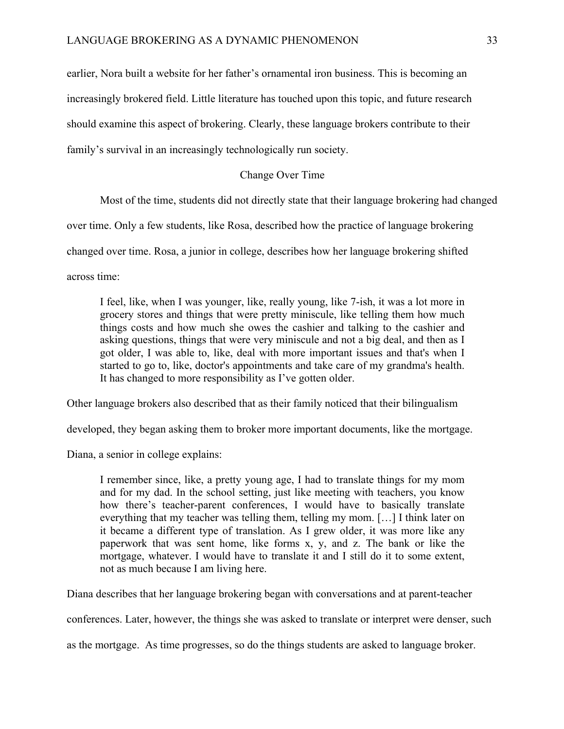earlier, Nora built a website for her father's ornamental iron business. This is becoming an increasingly brokered field. Little literature has touched upon this topic, and future research should examine this aspect of brokering. Clearly, these language brokers contribute to their family's survival in an increasingly technologically run society.

#### Change Over Time

Most of the time, students did not directly state that their language brokering had changed

over time. Only a few students, like Rosa, described how the practice of language brokering

changed over time. Rosa, a junior in college, describes how her language brokering shifted

across time:

I feel, like, when I was younger, like, really young, like 7-ish, it was a lot more in grocery stores and things that were pretty miniscule, like telling them how much things costs and how much she owes the cashier and talking to the cashier and asking questions, things that were very miniscule and not a big deal, and then as I got older, I was able to, like, deal with more important issues and that's when I started to go to, like, doctor's appointments and take care of my grandma's health. It has changed to more responsibility as I've gotten older.

Other language brokers also described that as their family noticed that their bilingualism

developed, they began asking them to broker more important documents, like the mortgage.

Diana, a senior in college explains:

I remember since, like, a pretty young age, I had to translate things for my mom and for my dad. In the school setting, just like meeting with teachers, you know how there's teacher-parent conferences, I would have to basically translate everything that my teacher was telling them, telling my mom. […] I think later on it became a different type of translation. As I grew older, it was more like any paperwork that was sent home, like forms x, y, and z. The bank or like the mortgage, whatever. I would have to translate it and I still do it to some extent, not as much because I am living here.

Diana describes that her language brokering began with conversations and at parent-teacher

conferences. Later, however, the things she was asked to translate or interpret were denser, such

as the mortgage. As time progresses, so do the things students are asked to language broker.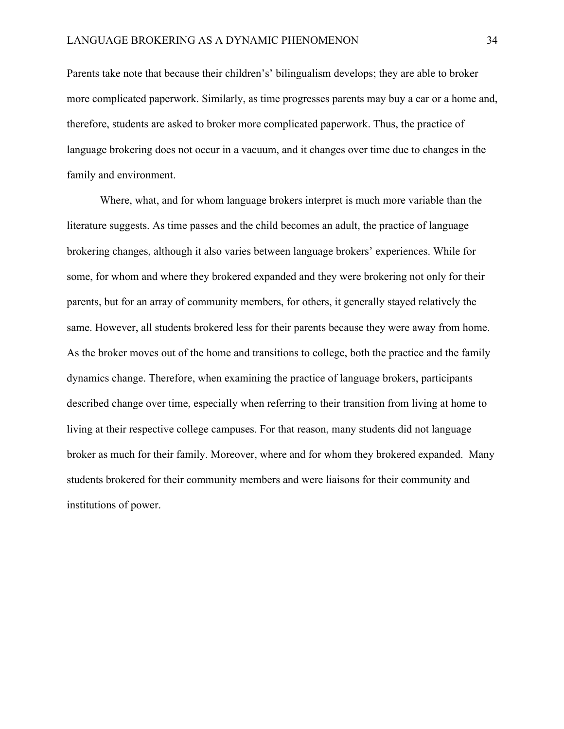Parents take note that because their children's' bilingualism develops; they are able to broker more complicated paperwork. Similarly, as time progresses parents may buy a car or a home and, therefore, students are asked to broker more complicated paperwork. Thus, the practice of language brokering does not occur in a vacuum, and it changes over time due to changes in the family and environment.

Where, what, and for whom language brokers interpret is much more variable than the literature suggests. As time passes and the child becomes an adult, the practice of language brokering changes, although it also varies between language brokers' experiences. While for some, for whom and where they brokered expanded and they were brokering not only for their parents, but for an array of community members, for others, it generally stayed relatively the same. However, all students brokered less for their parents because they were away from home. As the broker moves out of the home and transitions to college, both the practice and the family dynamics change. Therefore, when examining the practice of language brokers, participants described change over time, especially when referring to their transition from living at home to living at their respective college campuses. For that reason, many students did not language broker as much for their family. Moreover, where and for whom they brokered expanded. Many students brokered for their community members and were liaisons for their community and institutions of power.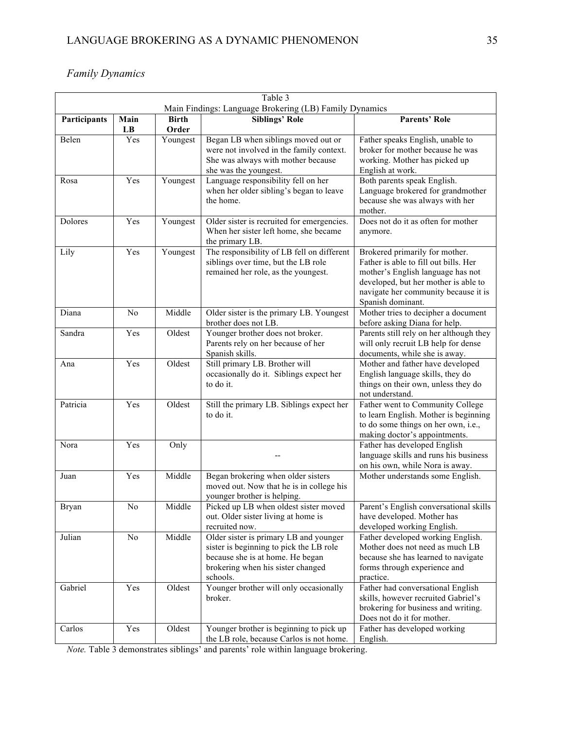# *Family Dynamics*

| Table 3<br>Main Findings: Language Brokering (LB) Family Dynamics                     |                |          |                                                                                                                                                                        |                                                                                                                                                                                                                   |  |  |
|---------------------------------------------------------------------------------------|----------------|----------|------------------------------------------------------------------------------------------------------------------------------------------------------------------------|-------------------------------------------------------------------------------------------------------------------------------------------------------------------------------------------------------------------|--|--|
| <b>Siblings' Role</b><br><b>Parents' Role</b><br>Participants<br>Main<br><b>Birth</b> |                |          |                                                                                                                                                                        |                                                                                                                                                                                                                   |  |  |
|                                                                                       | LB             | Order    |                                                                                                                                                                        |                                                                                                                                                                                                                   |  |  |
| Belen                                                                                 | Yes            | Youngest | Began LB when siblings moved out or<br>were not involved in the family context.<br>She was always with mother because<br>she was the youngest.                         | Father speaks English, unable to<br>broker for mother because he was<br>working. Mother has picked up<br>English at work.                                                                                         |  |  |
| Rosa                                                                                  | Yes            | Youngest | Language responsibility fell on her<br>when her older sibling's began to leave<br>the home.                                                                            | Both parents speak English.<br>Language brokered for grandmother<br>because she was always with her<br>mother.                                                                                                    |  |  |
| Dolores                                                                               | Yes            | Youngest | Older sister is recruited for emergencies.<br>When her sister left home, she became<br>the primary LB.                                                                 | Does not do it as often for mother<br>anymore.                                                                                                                                                                    |  |  |
| Lily                                                                                  | Yes            | Youngest | The responsibility of LB fell on different<br>siblings over time, but the LB role<br>remained her role, as the youngest.                                               | Brokered primarily for mother.<br>Father is able to fill out bills. Her<br>mother's English language has not<br>developed, but her mother is able to<br>navigate her community because it is<br>Spanish dominant. |  |  |
| Diana                                                                                 | N <sub>o</sub> | Middle   | Older sister is the primary LB. Youngest<br>brother does not LB.                                                                                                       | Mother tries to decipher a document<br>before asking Diana for help.                                                                                                                                              |  |  |
| Sandra                                                                                | Yes            | Oldest   | Younger brother does not broker.<br>Parents rely on her because of her<br>Spanish skills.                                                                              | Parents still rely on her although they<br>will only recruit LB help for dense<br>documents, while she is away.                                                                                                   |  |  |
| Ana                                                                                   | Yes            | Oldest   | Still primary LB. Brother will<br>occasionally do it. Siblings expect her<br>to do it.                                                                                 | Mother and father have developed<br>English language skills, they do<br>things on their own, unless they do<br>not understand.                                                                                    |  |  |
| Patricia                                                                              | Yes            | Oldest   | Still the primary LB. Siblings expect her<br>to do it.                                                                                                                 | Father went to Community College<br>to learn English. Mother is beginning<br>to do some things on her own, i.e.,<br>making doctor's appointments.                                                                 |  |  |
| Nora                                                                                  | Yes            | Only     |                                                                                                                                                                        | Father has developed English<br>language skills and runs his business<br>on his own, while Nora is away.                                                                                                          |  |  |
| Juan                                                                                  | Yes            | Middle   | Began brokering when older sisters<br>moved out. Now that he is in college his<br>younger brother is helping.                                                          | Mother understands some English.                                                                                                                                                                                  |  |  |
| Bryan                                                                                 | N0             | Middle   | Picked up LB when oldest sister moved<br>out. Older sister living at home is<br>recruited now.                                                                         | Parent's English conversational skills<br>have developed. Mother has<br>developed working English.                                                                                                                |  |  |
| Julian                                                                                | No             | Middle   | Older sister is primary LB and younger<br>sister is beginning to pick the LB role<br>because she is at home. He began<br>brokering when his sister changed<br>schools. | Father developed working English.<br>Mother does not need as much LB<br>because she has learned to navigate<br>forms through experience and<br>practice.                                                          |  |  |
| Gabriel                                                                               | Yes            | Oldest   | Younger brother will only occasionally<br>broker.                                                                                                                      | Father had conversational English<br>skills, however recruited Gabriel's<br>brokering for business and writing.<br>Does not do it for mother.                                                                     |  |  |
| Carlos                                                                                | Yes            | Oldest   | Younger brother is beginning to pick up<br>the LB role, because Carlos is not home.                                                                                    | Father has developed working<br>English.                                                                                                                                                                          |  |  |

*Note.* Table 3 demonstrates siblings' and parents' role within language brokering.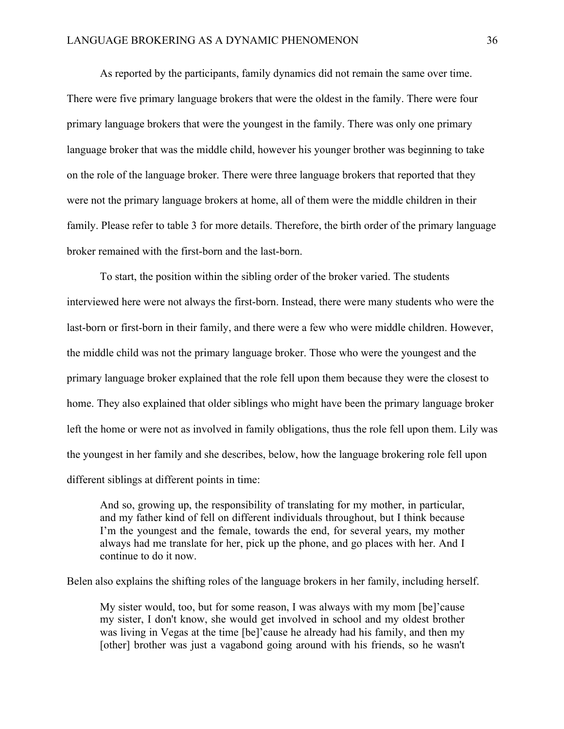As reported by the participants, family dynamics did not remain the same over time. There were five primary language brokers that were the oldest in the family. There were four primary language brokers that were the youngest in the family. There was only one primary language broker that was the middle child, however his younger brother was beginning to take on the role of the language broker. There were three language brokers that reported that they were not the primary language brokers at home, all of them were the middle children in their family. Please refer to table 3 for more details. Therefore, the birth order of the primary language broker remained with the first-born and the last-born.

To start, the position within the sibling order of the broker varied. The students interviewed here were not always the first-born. Instead, there were many students who were the last-born or first-born in their family, and there were a few who were middle children. However, the middle child was not the primary language broker. Those who were the youngest and the primary language broker explained that the role fell upon them because they were the closest to home. They also explained that older siblings who might have been the primary language broker left the home or were not as involved in family obligations, thus the role fell upon them. Lily was the youngest in her family and she describes, below, how the language brokering role fell upon different siblings at different points in time:

And so, growing up, the responsibility of translating for my mother, in particular, and my father kind of fell on different individuals throughout, but I think because I'm the youngest and the female, towards the end, for several years, my mother always had me translate for her, pick up the phone, and go places with her. And I continue to do it now.

Belen also explains the shifting roles of the language brokers in her family, including herself.

My sister would, too, but for some reason, I was always with my mom [be]'cause my sister, I don't know, she would get involved in school and my oldest brother was living in Vegas at the time [be]'cause he already had his family, and then my [other] brother was just a vagabond going around with his friends, so he wasn't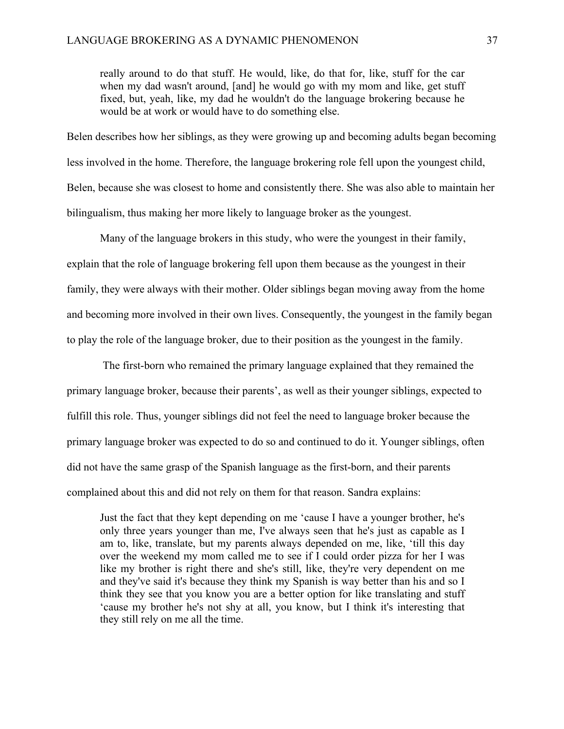really around to do that stuff. He would, like, do that for, like, stuff for the car when my dad wasn't around, [and] he would go with my mom and like, get stuff fixed, but, yeah, like, my dad he wouldn't do the language brokering because he would be at work or would have to do something else.

Belen describes how her siblings, as they were growing up and becoming adults began becoming less involved in the home. Therefore, the language brokering role fell upon the youngest child, Belen, because she was closest to home and consistently there. She was also able to maintain her bilingualism, thus making her more likely to language broker as the youngest.

Many of the language brokers in this study, who were the youngest in their family, explain that the role of language brokering fell upon them because as the youngest in their family, they were always with their mother. Older siblings began moving away from the home and becoming more involved in their own lives. Consequently, the youngest in the family began to play the role of the language broker, due to their position as the youngest in the family.

The first-born who remained the primary language explained that they remained the primary language broker, because their parents', as well as their younger siblings, expected to fulfill this role. Thus, younger siblings did not feel the need to language broker because the primary language broker was expected to do so and continued to do it. Younger siblings, often did not have the same grasp of the Spanish language as the first-born, and their parents complained about this and did not rely on them for that reason. Sandra explains:

Just the fact that they kept depending on me 'cause I have a younger brother, he's only three years younger than me, I've always seen that he's just as capable as I am to, like, translate, but my parents always depended on me, like, 'till this day over the weekend my mom called me to see if I could order pizza for her I was like my brother is right there and she's still, like, they're very dependent on me and they've said it's because they think my Spanish is way better than his and so I think they see that you know you are a better option for like translating and stuff 'cause my brother he's not shy at all, you know, but I think it's interesting that they still rely on me all the time.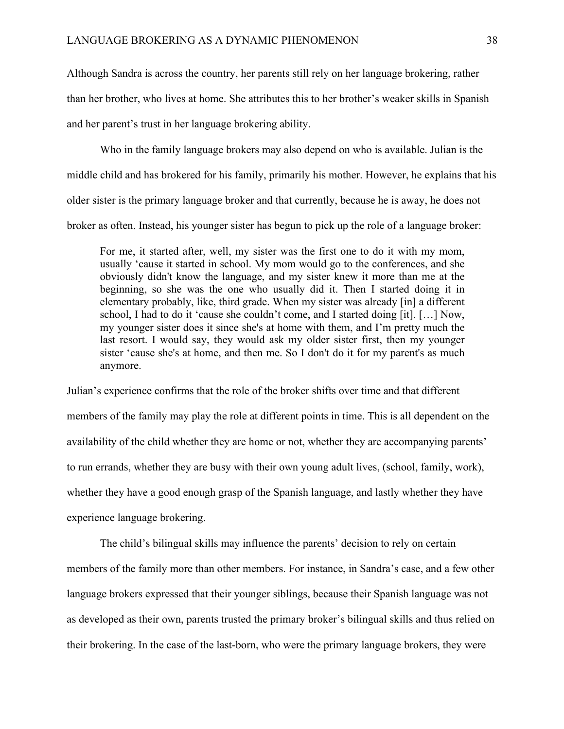Although Sandra is across the country, her parents still rely on her language brokering, rather than her brother, who lives at home. She attributes this to her brother's weaker skills in Spanish and her parent's trust in her language brokering ability.

Who in the family language brokers may also depend on who is available. Julian is the middle child and has brokered for his family, primarily his mother. However, he explains that his older sister is the primary language broker and that currently, because he is away, he does not broker as often. Instead, his younger sister has begun to pick up the role of a language broker:

For me, it started after, well, my sister was the first one to do it with my mom, usually 'cause it started in school. My mom would go to the conferences, and she obviously didn't know the language, and my sister knew it more than me at the beginning, so she was the one who usually did it. Then I started doing it in elementary probably, like, third grade. When my sister was already [in] a different school, I had to do it 'cause she couldn't come, and I started doing [it]. […] Now, my younger sister does it since she's at home with them, and I'm pretty much the last resort. I would say, they would ask my older sister first, then my younger sister 'cause she's at home, and then me. So I don't do it for my parent's as much anymore.

Julian's experience confirms that the role of the broker shifts over time and that different members of the family may play the role at different points in time. This is all dependent on the availability of the child whether they are home or not, whether they are accompanying parents' to run errands, whether they are busy with their own young adult lives, (school, family, work), whether they have a good enough grasp of the Spanish language, and lastly whether they have experience language brokering.

The child's bilingual skills may influence the parents' decision to rely on certain members of the family more than other members. For instance, in Sandra's case, and a few other language brokers expressed that their younger siblings, because their Spanish language was not as developed as their own, parents trusted the primary broker's bilingual skills and thus relied on their brokering. In the case of the last-born, who were the primary language brokers, they were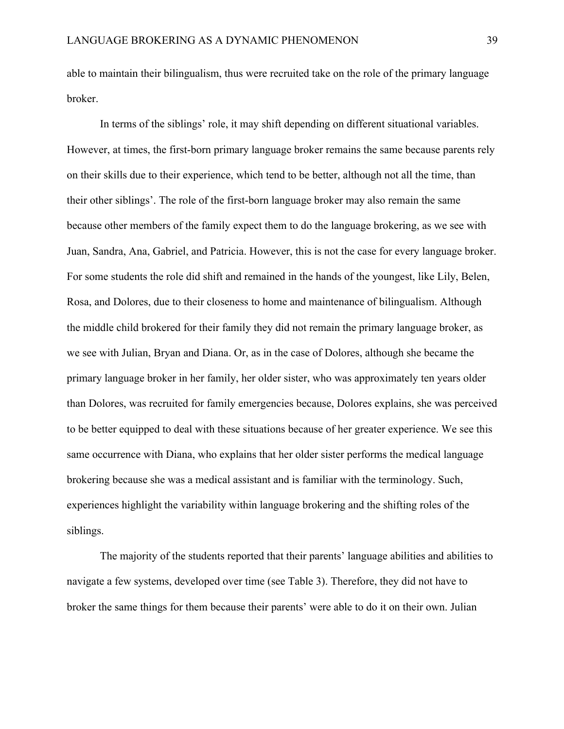able to maintain their bilingualism, thus were recruited take on the role of the primary language broker.

In terms of the siblings' role, it may shift depending on different situational variables. However, at times, the first-born primary language broker remains the same because parents rely on their skills due to their experience, which tend to be better, although not all the time, than their other siblings'. The role of the first-born language broker may also remain the same because other members of the family expect them to do the language brokering, as we see with Juan, Sandra, Ana, Gabriel, and Patricia. However, this is not the case for every language broker. For some students the role did shift and remained in the hands of the youngest, like Lily, Belen, Rosa, and Dolores, due to their closeness to home and maintenance of bilingualism. Although the middle child brokered for their family they did not remain the primary language broker, as we see with Julian, Bryan and Diana. Or, as in the case of Dolores, although she became the primary language broker in her family, her older sister, who was approximately ten years older than Dolores, was recruited for family emergencies because, Dolores explains, she was perceived to be better equipped to deal with these situations because of her greater experience. We see this same occurrence with Diana, who explains that her older sister performs the medical language brokering because she was a medical assistant and is familiar with the terminology. Such, experiences highlight the variability within language brokering and the shifting roles of the siblings.

The majority of the students reported that their parents' language abilities and abilities to navigate a few systems, developed over time (see Table 3). Therefore, they did not have to broker the same things for them because their parents' were able to do it on their own. Julian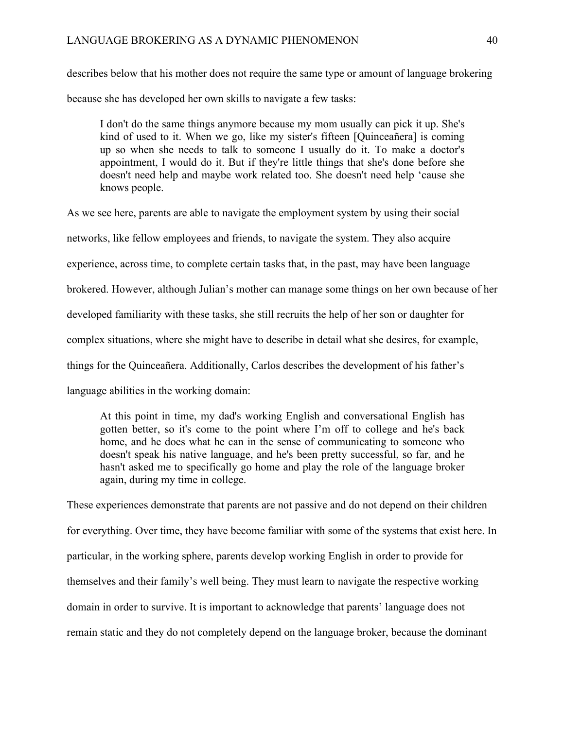describes below that his mother does not require the same type or amount of language brokering because she has developed her own skills to navigate a few tasks:

I don't do the same things anymore because my mom usually can pick it up. She's kind of used to it. When we go, like my sister's fifteen [Quinceañera] is coming up so when she needs to talk to someone I usually do it. To make a doctor's appointment, I would do it. But if they're little things that she's done before she doesn't need help and maybe work related too. She doesn't need help 'cause she knows people.

As we see here, parents are able to navigate the employment system by using their social networks, like fellow employees and friends, to navigate the system. They also acquire experience, across time, to complete certain tasks that, in the past, may have been language brokered. However, although Julian's mother can manage some things on her own because of her developed familiarity with these tasks, she still recruits the help of her son or daughter for complex situations, where she might have to describe in detail what she desires, for example, things for the Quinceañera. Additionally, Carlos describes the development of his father's language abilities in the working domain:

At this point in time, my dad's working English and conversational English has gotten better, so it's come to the point where I'm off to college and he's back home, and he does what he can in the sense of communicating to someone who doesn't speak his native language, and he's been pretty successful, so far, and he hasn't asked me to specifically go home and play the role of the language broker again, during my time in college.

These experiences demonstrate that parents are not passive and do not depend on their children for everything. Over time, they have become familiar with some of the systems that exist here. In particular, in the working sphere, parents develop working English in order to provide for themselves and their family's well being. They must learn to navigate the respective working domain in order to survive. It is important to acknowledge that parents' language does not remain static and they do not completely depend on the language broker, because the dominant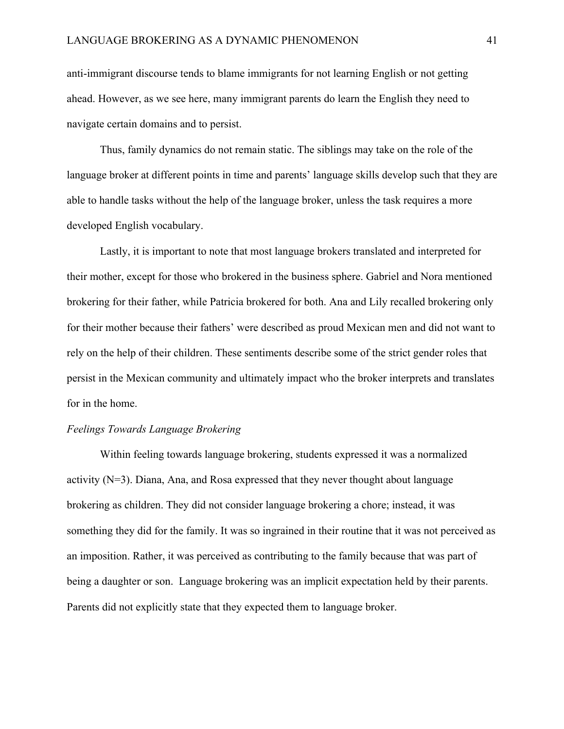anti-immigrant discourse tends to blame immigrants for not learning English or not getting ahead. However, as we see here, many immigrant parents do learn the English they need to navigate certain domains and to persist.

Thus, family dynamics do not remain static. The siblings may take on the role of the language broker at different points in time and parents' language skills develop such that they are able to handle tasks without the help of the language broker, unless the task requires a more developed English vocabulary.

Lastly, it is important to note that most language brokers translated and interpreted for their mother, except for those who brokered in the business sphere. Gabriel and Nora mentioned brokering for their father, while Patricia brokered for both. Ana and Lily recalled brokering only for their mother because their fathers' were described as proud Mexican men and did not want to rely on the help of their children. These sentiments describe some of the strict gender roles that persist in the Mexican community and ultimately impact who the broker interprets and translates for in the home.

#### *Feelings Towards Language Brokering*

Within feeling towards language brokering, students expressed it was a normalized activity (N=3). Diana, Ana, and Rosa expressed that they never thought about language brokering as children. They did not consider language brokering a chore; instead, it was something they did for the family. It was so ingrained in their routine that it was not perceived as an imposition. Rather, it was perceived as contributing to the family because that was part of being a daughter or son. Language brokering was an implicit expectation held by their parents. Parents did not explicitly state that they expected them to language broker.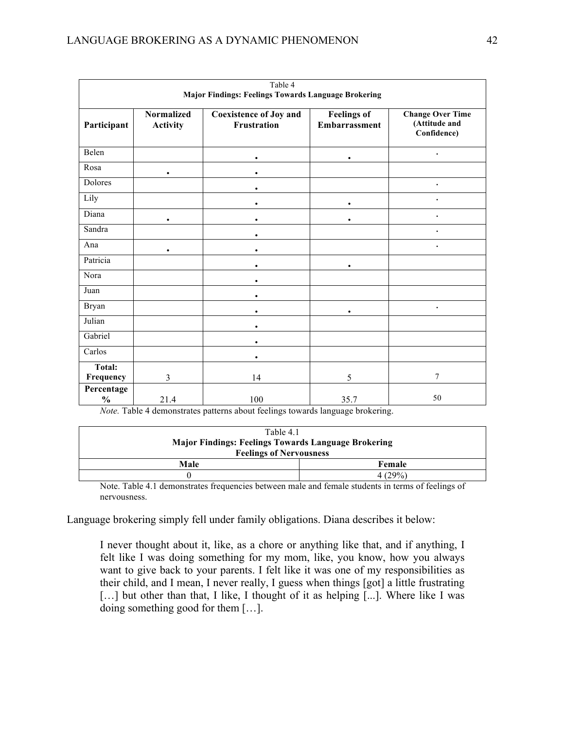| Table 4<br><b>Major Findings: Feelings Towards Language Brokering</b> |                                      |                                              |                                     |                                                         |  |
|-----------------------------------------------------------------------|--------------------------------------|----------------------------------------------|-------------------------------------|---------------------------------------------------------|--|
| Participant                                                           | <b>Normalized</b><br><b>Activity</b> | <b>Coexistence of Joy and</b><br>Frustration | <b>Feelings of</b><br>Embarrassment | <b>Change Over Time</b><br>(Attitude and<br>Confidence) |  |
| Belen                                                                 |                                      |                                              | $\bullet$                           |                                                         |  |
| Rosa                                                                  | $\bullet$                            |                                              |                                     |                                                         |  |
| Dolores                                                               |                                      |                                              |                                     |                                                         |  |
| Lily                                                                  |                                      |                                              | $\bullet$                           |                                                         |  |
| Diana                                                                 | $\bullet$                            |                                              | ٠                                   |                                                         |  |
| Sandra                                                                |                                      |                                              |                                     |                                                         |  |
| Ana                                                                   | $\bullet$                            |                                              |                                     |                                                         |  |
| Patricia                                                              |                                      | $\bullet$                                    | $\bullet$                           |                                                         |  |
| Nora                                                                  |                                      |                                              |                                     |                                                         |  |
| Juan                                                                  |                                      |                                              |                                     |                                                         |  |
| <b>Bryan</b>                                                          |                                      |                                              |                                     | $\bullet$                                               |  |
| Julian                                                                |                                      | $\bullet$                                    |                                     |                                                         |  |
| Gabriel                                                               |                                      | ٠                                            |                                     |                                                         |  |
| Carlos                                                                |                                      | $\bullet$                                    |                                     |                                                         |  |
| <b>Total:</b><br>Frequency                                            | $\overline{3}$                       | 14                                           | 5                                   | 7                                                       |  |
| Percentage<br>$\%$                                                    | 21.4                                 | 100                                          | 35.7                                | 50                                                      |  |

*Note.* Table 4 demonstrates patterns about feelings towards language brokering.

| Table 4.1                                                  |         |  |  |  |
|------------------------------------------------------------|---------|--|--|--|
| <b>Major Findings: Feelings Towards Language Brokering</b> |         |  |  |  |
| <b>Feelings of Nervousness</b>                             |         |  |  |  |
| Male                                                       | Female  |  |  |  |
|                                                            | 4 (29%) |  |  |  |

Note. Table 4.1 demonstrates frequencies between male and female students in terms of feelings of nervousness.

Language brokering simply fell under family obligations. Diana describes it below:

I never thought about it, like, as a chore or anything like that, and if anything, I felt like I was doing something for my mom, like, you know, how you always want to give back to your parents. I felt like it was one of my responsibilities as their child, and I mean, I never really, I guess when things [got] a little frustrating [...] but other than that, I like, I thought of it as helping [...]. Where like I was doing something good for them […].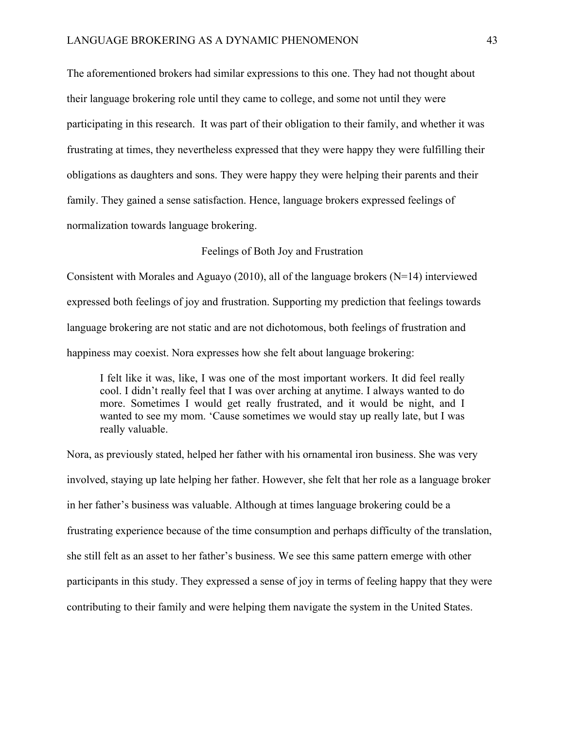The aforementioned brokers had similar expressions to this one. They had not thought about their language brokering role until they came to college, and some not until they were participating in this research. It was part of their obligation to their family, and whether it was frustrating at times, they nevertheless expressed that they were happy they were fulfilling their obligations as daughters and sons. They were happy they were helping their parents and their family. They gained a sense satisfaction. Hence, language brokers expressed feelings of normalization towards language brokering.

Feelings of Both Joy and Frustration

Consistent with Morales and Aguayo (2010), all of the language brokers ( $N=14$ ) interviewed expressed both feelings of joy and frustration. Supporting my prediction that feelings towards language brokering are not static and are not dichotomous, both feelings of frustration and happiness may coexist. Nora expresses how she felt about language brokering:

I felt like it was, like, I was one of the most important workers. It did feel really cool. I didn't really feel that I was over arching at anytime. I always wanted to do more. Sometimes I would get really frustrated, and it would be night, and I wanted to see my mom. 'Cause sometimes we would stay up really late, but I was really valuable.

Nora, as previously stated, helped her father with his ornamental iron business. She was very involved, staying up late helping her father. However, she felt that her role as a language broker in her father's business was valuable. Although at times language brokering could be a frustrating experience because of the time consumption and perhaps difficulty of the translation, she still felt as an asset to her father's business. We see this same pattern emerge with other participants in this study. They expressed a sense of joy in terms of feeling happy that they were contributing to their family and were helping them navigate the system in the United States.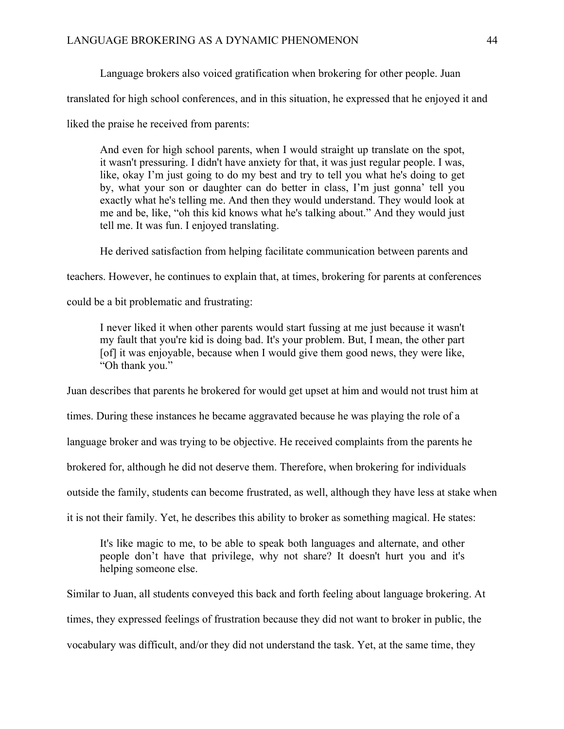Language brokers also voiced gratification when brokering for other people. Juan

translated for high school conferences, and in this situation, he expressed that he enjoyed it and

liked the praise he received from parents:

And even for high school parents, when I would straight up translate on the spot, it wasn't pressuring. I didn't have anxiety for that, it was just regular people. I was, like, okay I'm just going to do my best and try to tell you what he's doing to get by, what your son or daughter can do better in class, I'm just gonna' tell you exactly what he's telling me. And then they would understand. They would look at me and be, like, "oh this kid knows what he's talking about." And they would just tell me. It was fun. I enjoyed translating.

He derived satisfaction from helping facilitate communication between parents and

teachers. However, he continues to explain that, at times, brokering for parents at conferences

could be a bit problematic and frustrating:

I never liked it when other parents would start fussing at me just because it wasn't my fault that you're kid is doing bad. It's your problem. But, I mean, the other part [of] it was enjoyable, because when I would give them good news, they were like, "Oh thank you."

Juan describes that parents he brokered for would get upset at him and would not trust him at

times. During these instances he became aggravated because he was playing the role of a

language broker and was trying to be objective. He received complaints from the parents he

brokered for, although he did not deserve them. Therefore, when brokering for individuals

outside the family, students can become frustrated, as well, although they have less at stake when

it is not their family. Yet, he describes this ability to broker as something magical. He states:

It's like magic to me, to be able to speak both languages and alternate, and other people don't have that privilege, why not share? It doesn't hurt you and it's helping someone else.

Similar to Juan, all students conveyed this back and forth feeling about language brokering. At times, they expressed feelings of frustration because they did not want to broker in public, the vocabulary was difficult, and/or they did not understand the task. Yet, at the same time, they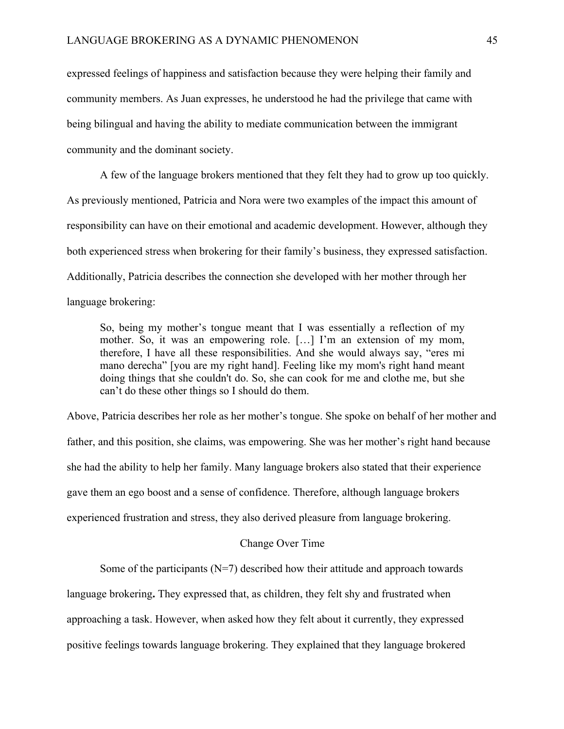expressed feelings of happiness and satisfaction because they were helping their family and community members. As Juan expresses, he understood he had the privilege that came with being bilingual and having the ability to mediate communication between the immigrant community and the dominant society.

A few of the language brokers mentioned that they felt they had to grow up too quickly. As previously mentioned, Patricia and Nora were two examples of the impact this amount of responsibility can have on their emotional and academic development. However, although they both experienced stress when brokering for their family's business, they expressed satisfaction. Additionally, Patricia describes the connection she developed with her mother through her language brokering:

So, being my mother's tongue meant that I was essentially a reflection of my mother. So, it was an empowering role. […] I'm an extension of my mom, therefore, I have all these responsibilities. And she would always say, "eres mi mano derecha" [you are my right hand]. Feeling like my mom's right hand meant doing things that she couldn't do. So, she can cook for me and clothe me, but she can't do these other things so I should do them.

Above, Patricia describes her role as her mother's tongue. She spoke on behalf of her mother and father, and this position, she claims, was empowering. She was her mother's right hand because she had the ability to help her family. Many language brokers also stated that their experience gave them an ego boost and a sense of confidence. Therefore, although language brokers experienced frustration and stress, they also derived pleasure from language brokering.

# Change Over Time

Some of the participants  $(N=7)$  described how their attitude and approach towards

language brokering**.** They expressed that, as children, they felt shy and frustrated when

approaching a task. However, when asked how they felt about it currently, they expressed

positive feelings towards language brokering. They explained that they language brokered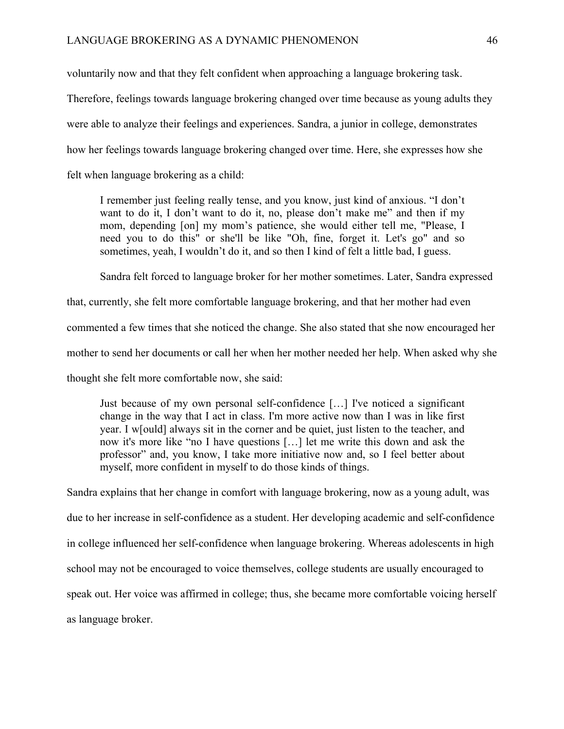voluntarily now and that they felt confident when approaching a language brokering task.

Therefore, feelings towards language brokering changed over time because as young adults they were able to analyze their feelings and experiences. Sandra, a junior in college, demonstrates how her feelings towards language brokering changed over time. Here, she expresses how she felt when language brokering as a child:

I remember just feeling really tense, and you know, just kind of anxious. "I don't want to do it, I don't want to do it, no, please don't make me" and then if my mom, depending [on] my mom's patience, she would either tell me, "Please, I need you to do this" or she'll be like "Oh, fine, forget it. Let's go" and so sometimes, yeah, I wouldn't do it, and so then I kind of felt a little bad, I guess.

Sandra felt forced to language broker for her mother sometimes. Later, Sandra expressed

that, currently, she felt more comfortable language brokering, and that her mother had even commented a few times that she noticed the change. She also stated that she now encouraged her mother to send her documents or call her when her mother needed her help. When asked why she thought she felt more comfortable now, she said:

Just because of my own personal self-confidence […] I've noticed a significant change in the way that I act in class. I'm more active now than I was in like first year. I w[ould] always sit in the corner and be quiet, just listen to the teacher, and now it's more like "no I have questions […] let me write this down and ask the professor" and, you know, I take more initiative now and, so I feel better about myself, more confident in myself to do those kinds of things.

Sandra explains that her change in comfort with language brokering, now as a young adult, was due to her increase in self-confidence as a student. Her developing academic and self-confidence in college influenced her self-confidence when language brokering. Whereas adolescents in high school may not be encouraged to voice themselves, college students are usually encouraged to speak out. Her voice was affirmed in college; thus, she became more comfortable voicing herself as language broker.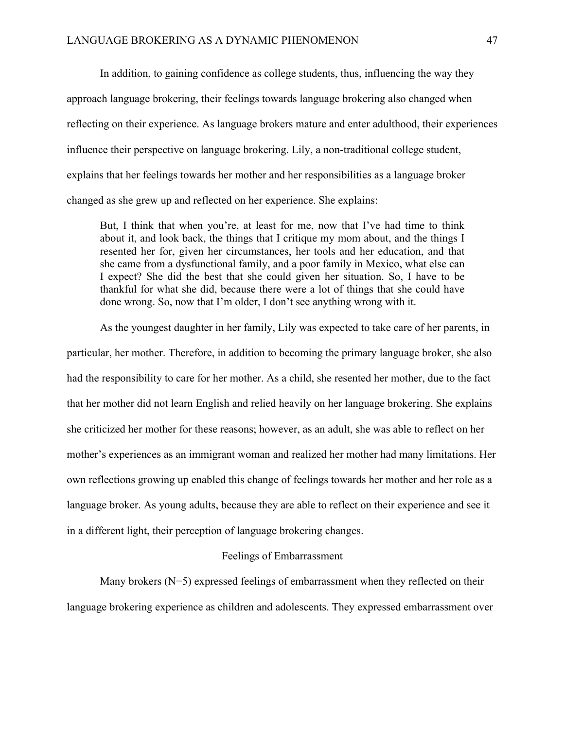In addition, to gaining confidence as college students, thus, influencing the way they approach language brokering, their feelings towards language brokering also changed when reflecting on their experience. As language brokers mature and enter adulthood, their experiences influence their perspective on language brokering. Lily, a non-traditional college student, explains that her feelings towards her mother and her responsibilities as a language broker changed as she grew up and reflected on her experience. She explains:

But, I think that when you're, at least for me, now that I've had time to think about it, and look back, the things that I critique my mom about, and the things I resented her for, given her circumstances, her tools and her education, and that she came from a dysfunctional family, and a poor family in Mexico, what else can I expect? She did the best that she could given her situation. So, I have to be thankful for what she did, because there were a lot of things that she could have done wrong. So, now that I'm older, I don't see anything wrong with it.

As the youngest daughter in her family, Lily was expected to take care of her parents, in particular, her mother. Therefore, in addition to becoming the primary language broker, she also had the responsibility to care for her mother. As a child, she resented her mother, due to the fact that her mother did not learn English and relied heavily on her language brokering. She explains she criticized her mother for these reasons; however, as an adult, she was able to reflect on her mother's experiences as an immigrant woman and realized her mother had many limitations. Her own reflections growing up enabled this change of feelings towards her mother and her role as a language broker. As young adults, because they are able to reflect on their experience and see it in a different light, their perception of language brokering changes.

## Feelings of Embarrassment

Many brokers (N=5) expressed feelings of embarrassment when they reflected on their language brokering experience as children and adolescents. They expressed embarrassment over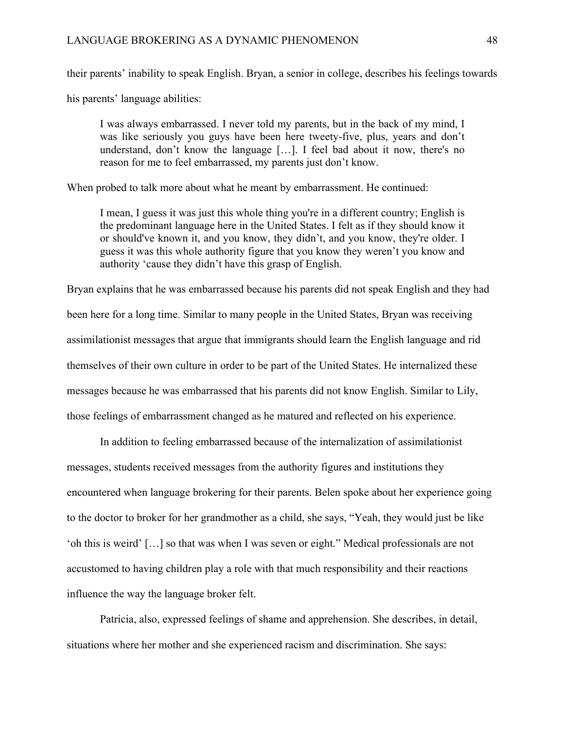their parents' inability to speak English. Bryan, a senior in college, describes his feelings towards

his parents' language abilities:

I was always embarrassed. I never told my parents, but in the back of my mind, I was like seriously you guys have been here tweety-five, plus, years and don't understand, don't know the language […]. I feel bad about it now, there's no reason for me to feel embarrassed, my parents just don't know.

When probed to talk more about what he meant by embarrassment. He continued:

I mean, I guess it was just this whole thing you're in a different country; English is the predominant language here in the United States. I felt as if they should know it or should've known it, and you know, they didn't, and you know, they're older. I guess it was this whole authority figure that you know they weren't you know and authority 'cause they didn't have this grasp of English.

Bryan explains that he was embarrassed because his parents did not speak English and they had been here for a long time. Similar to many people in the United States, Bryan was receiving assimilationist messages that argue that immigrants should learn the English language and rid themselves of their own culture in order to be part of the United States. He internalized these messages because he was embarrassed that his parents did not know English. Similar to Lily, those feelings of embarrassment changed as he matured and reflected on his experience.

In addition to feeling embarrassed because of the internalization of assimilationist messages, students received messages from the authority figures and institutions they encountered when language brokering for their parents. Belen spoke about her experience going to the doctor to broker for her grandmother as a child, she says, "Yeah, they would just be like 'oh this is weird' […] so that was when I was seven or eight." Medical professionals are not accustomed to having children play a role with that much responsibility and their reactions influence the way the language broker felt.

Patricia, also, expressed feelings of shame and apprehension. She describes, in detail, situations where her mother and she experienced racism and discrimination. She says: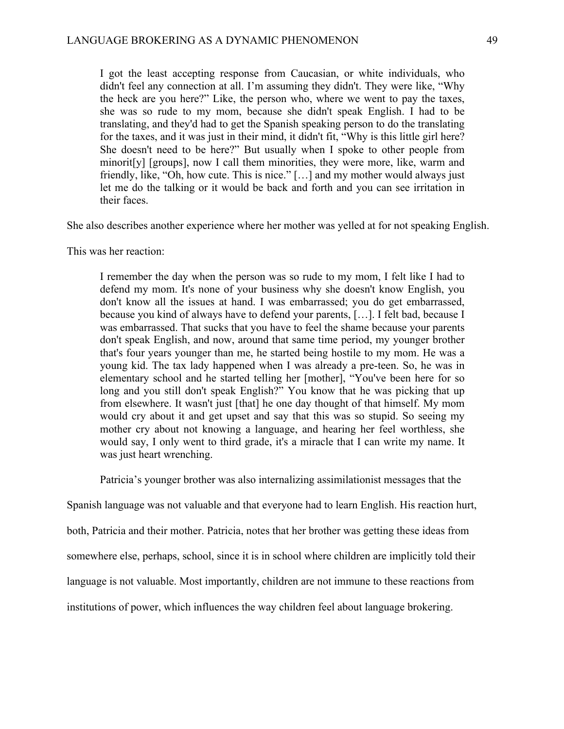I got the least accepting response from Caucasian, or white individuals, who didn't feel any connection at all. I'm assuming they didn't. They were like, "Why the heck are you here?" Like, the person who, where we went to pay the taxes, she was so rude to my mom, because she didn't speak English. I had to be translating, and they'd had to get the Spanish speaking person to do the translating for the taxes, and it was just in their mind, it didn't fit, "Why is this little girl here? She doesn't need to be here?" But usually when I spoke to other people from minorit[y] [groups], now I call them minorities, they were more, like, warm and friendly, like, "Oh, how cute. This is nice." […] and my mother would always just let me do the talking or it would be back and forth and you can see irritation in their faces.

She also describes another experience where her mother was yelled at for not speaking English.

This was her reaction:

I remember the day when the person was so rude to my mom, I felt like I had to defend my mom. It's none of your business why she doesn't know English, you don't know all the issues at hand. I was embarrassed; you do get embarrassed, because you kind of always have to defend your parents, […]. I felt bad, because I was embarrassed. That sucks that you have to feel the shame because your parents don't speak English, and now, around that same time period, my younger brother that's four years younger than me, he started being hostile to my mom. He was a young kid. The tax lady happened when I was already a pre-teen. So, he was in elementary school and he started telling her [mother], "You've been here for so long and you still don't speak English?" You know that he was picking that up from elsewhere. It wasn't just [that] he one day thought of that himself. My mom would cry about it and get upset and say that this was so stupid. So seeing my mother cry about not knowing a language, and hearing her feel worthless, she would say, I only went to third grade, it's a miracle that I can write my name. It was just heart wrenching.

Patricia's younger brother was also internalizing assimilationist messages that the

Spanish language was not valuable and that everyone had to learn English. His reaction hurt, both, Patricia and their mother. Patricia, notes that her brother was getting these ideas from

somewhere else, perhaps, school, since it is in school where children are implicitly told their

language is not valuable. Most importantly, children are not immune to these reactions from

institutions of power, which influences the way children feel about language brokering.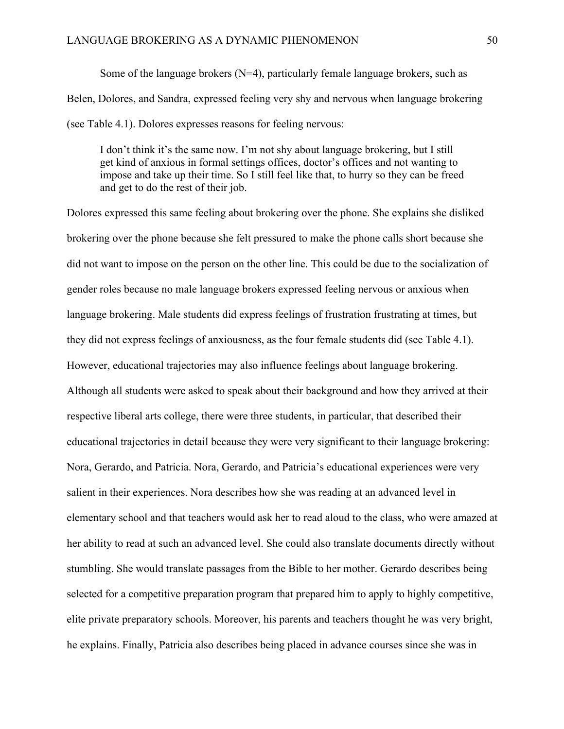Some of the language brokers  $(N=4)$ , particularly female language brokers, such as Belen, Dolores, and Sandra, expressed feeling very shy and nervous when language brokering (see Table 4.1). Dolores expresses reasons for feeling nervous:

I don't think it's the same now. I'm not shy about language brokering, but I still get kind of anxious in formal settings offices, doctor's offices and not wanting to impose and take up their time. So I still feel like that, to hurry so they can be freed and get to do the rest of their job.

Dolores expressed this same feeling about brokering over the phone. She explains she disliked brokering over the phone because she felt pressured to make the phone calls short because she did not want to impose on the person on the other line. This could be due to the socialization of gender roles because no male language brokers expressed feeling nervous or anxious when language brokering. Male students did express feelings of frustration frustrating at times, but they did not express feelings of anxiousness, as the four female students did (see Table 4.1). However, educational trajectories may also influence feelings about language brokering. Although all students were asked to speak about their background and how they arrived at their respective liberal arts college, there were three students, in particular, that described their educational trajectories in detail because they were very significant to their language brokering: Nora, Gerardo, and Patricia. Nora, Gerardo, and Patricia's educational experiences were very salient in their experiences. Nora describes how she was reading at an advanced level in elementary school and that teachers would ask her to read aloud to the class, who were amazed at her ability to read at such an advanced level. She could also translate documents directly without stumbling. She would translate passages from the Bible to her mother. Gerardo describes being selected for a competitive preparation program that prepared him to apply to highly competitive, elite private preparatory schools. Moreover, his parents and teachers thought he was very bright, he explains. Finally, Patricia also describes being placed in advance courses since she was in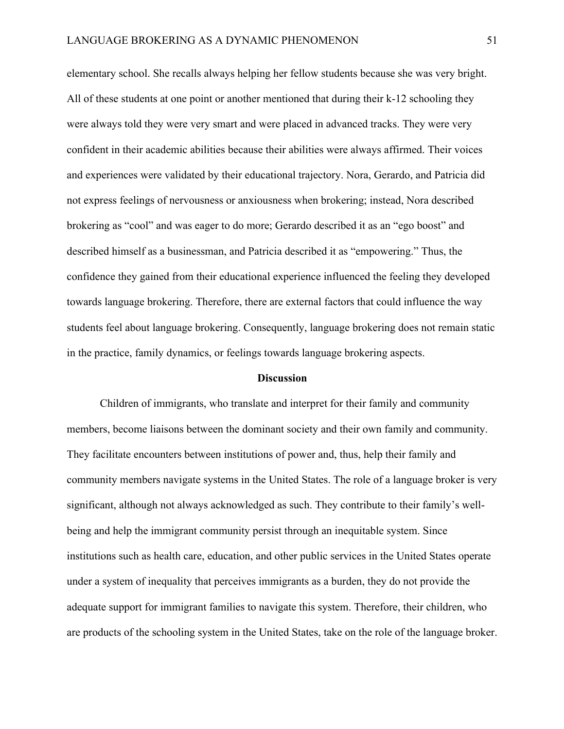elementary school. She recalls always helping her fellow students because she was very bright. All of these students at one point or another mentioned that during their k-12 schooling they were always told they were very smart and were placed in advanced tracks. They were very confident in their academic abilities because their abilities were always affirmed. Their voices and experiences were validated by their educational trajectory. Nora, Gerardo, and Patricia did not express feelings of nervousness or anxiousness when brokering; instead, Nora described brokering as "cool" and was eager to do more; Gerardo described it as an "ego boost" and described himself as a businessman, and Patricia described it as "empowering." Thus, the confidence they gained from their educational experience influenced the feeling they developed towards language brokering. Therefore, there are external factors that could influence the way students feel about language brokering. Consequently, language brokering does not remain static in the practice, family dynamics, or feelings towards language brokering aspects.

#### **Discussion**

Children of immigrants, who translate and interpret for their family and community members, become liaisons between the dominant society and their own family and community. They facilitate encounters between institutions of power and, thus, help their family and community members navigate systems in the United States. The role of a language broker is very significant, although not always acknowledged as such. They contribute to their family's wellbeing and help the immigrant community persist through an inequitable system. Since institutions such as health care, education, and other public services in the United States operate under a system of inequality that perceives immigrants as a burden, they do not provide the adequate support for immigrant families to navigate this system. Therefore, their children, who are products of the schooling system in the United States, take on the role of the language broker.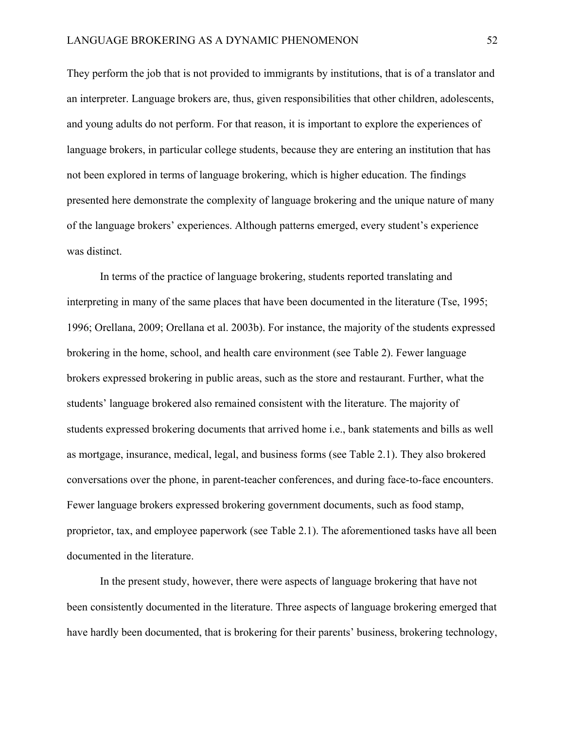They perform the job that is not provided to immigrants by institutions, that is of a translator and an interpreter. Language brokers are, thus, given responsibilities that other children, adolescents, and young adults do not perform. For that reason, it is important to explore the experiences of language brokers, in particular college students, because they are entering an institution that has not been explored in terms of language brokering, which is higher education. The findings presented here demonstrate the complexity of language brokering and the unique nature of many of the language brokers' experiences. Although patterns emerged, every student's experience was distinct.

In terms of the practice of language brokering, students reported translating and interpreting in many of the same places that have been documented in the literature (Tse, 1995; 1996; Orellana, 2009; Orellana et al. 2003b). For instance, the majority of the students expressed brokering in the home, school, and health care environment (see Table 2). Fewer language brokers expressed brokering in public areas, such as the store and restaurant. Further, what the students' language brokered also remained consistent with the literature. The majority of students expressed brokering documents that arrived home i.e., bank statements and bills as well as mortgage, insurance, medical, legal, and business forms (see Table 2.1). They also brokered conversations over the phone, in parent-teacher conferences, and during face-to-face encounters. Fewer language brokers expressed brokering government documents, such as food stamp, proprietor, tax, and employee paperwork (see Table 2.1). The aforementioned tasks have all been documented in the literature.

In the present study, however, there were aspects of language brokering that have not been consistently documented in the literature. Three aspects of language brokering emerged that have hardly been documented, that is brokering for their parents' business, brokering technology,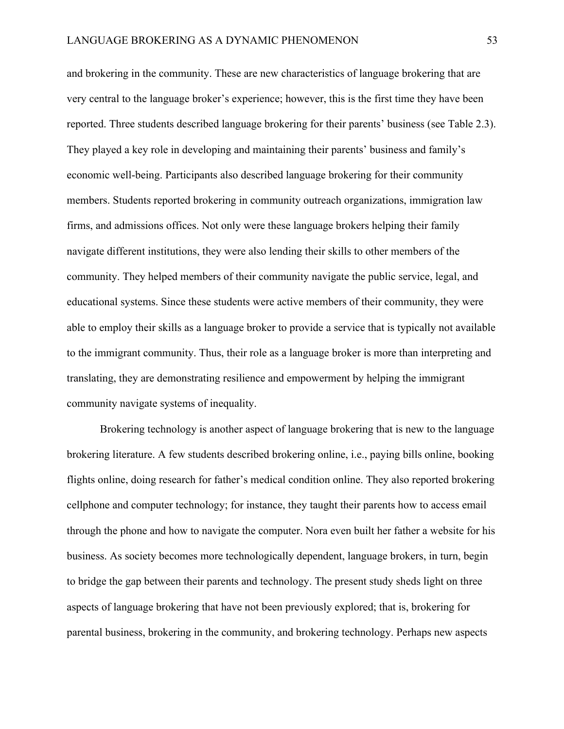and brokering in the community. These are new characteristics of language brokering that are very central to the language broker's experience; however, this is the first time they have been reported. Three students described language brokering for their parents' business (see Table 2.3). They played a key role in developing and maintaining their parents' business and family's economic well-being. Participants also described language brokering for their community members. Students reported brokering in community outreach organizations, immigration law firms, and admissions offices. Not only were these language brokers helping their family navigate different institutions, they were also lending their skills to other members of the community. They helped members of their community navigate the public service, legal, and educational systems. Since these students were active members of their community, they were able to employ their skills as a language broker to provide a service that is typically not available to the immigrant community. Thus, their role as a language broker is more than interpreting and translating, they are demonstrating resilience and empowerment by helping the immigrant community navigate systems of inequality.

Brokering technology is another aspect of language brokering that is new to the language brokering literature. A few students described brokering online, i.e., paying bills online, booking flights online, doing research for father's medical condition online. They also reported brokering cellphone and computer technology; for instance, they taught their parents how to access email through the phone and how to navigate the computer. Nora even built her father a website for his business. As society becomes more technologically dependent, language brokers, in turn, begin to bridge the gap between their parents and technology. The present study sheds light on three aspects of language brokering that have not been previously explored; that is, brokering for parental business, brokering in the community, and brokering technology. Perhaps new aspects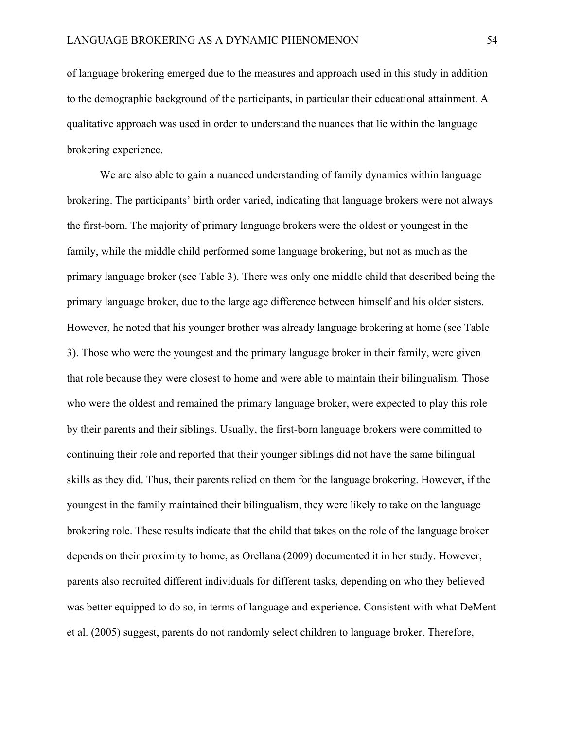of language brokering emerged due to the measures and approach used in this study in addition to the demographic background of the participants, in particular their educational attainment. A qualitative approach was used in order to understand the nuances that lie within the language brokering experience.

We are also able to gain a nuanced understanding of family dynamics within language brokering. The participants' birth order varied, indicating that language brokers were not always the first-born. The majority of primary language brokers were the oldest or youngest in the family, while the middle child performed some language brokering, but not as much as the primary language broker (see Table 3). There was only one middle child that described being the primary language broker, due to the large age difference between himself and his older sisters. However, he noted that his younger brother was already language brokering at home (see Table 3). Those who were the youngest and the primary language broker in their family, were given that role because they were closest to home and were able to maintain their bilingualism. Those who were the oldest and remained the primary language broker, were expected to play this role by their parents and their siblings. Usually, the first-born language brokers were committed to continuing their role and reported that their younger siblings did not have the same bilingual skills as they did. Thus, their parents relied on them for the language brokering. However, if the youngest in the family maintained their bilingualism, they were likely to take on the language brokering role. These results indicate that the child that takes on the role of the language broker depends on their proximity to home, as Orellana (2009) documented it in her study. However, parents also recruited different individuals for different tasks, depending on who they believed was better equipped to do so, in terms of language and experience. Consistent with what DeMent et al. (2005) suggest, parents do not randomly select children to language broker. Therefore,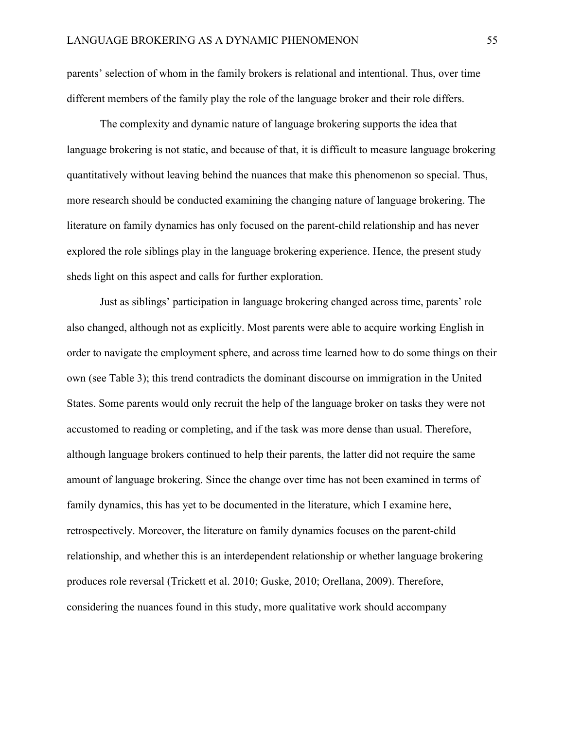parents' selection of whom in the family brokers is relational and intentional. Thus, over time different members of the family play the role of the language broker and their role differs.

The complexity and dynamic nature of language brokering supports the idea that language brokering is not static, and because of that, it is difficult to measure language brokering quantitatively without leaving behind the nuances that make this phenomenon so special. Thus, more research should be conducted examining the changing nature of language brokering. The literature on family dynamics has only focused on the parent-child relationship and has never explored the role siblings play in the language brokering experience. Hence, the present study sheds light on this aspect and calls for further exploration.

Just as siblings' participation in language brokering changed across time, parents' role also changed, although not as explicitly. Most parents were able to acquire working English in order to navigate the employment sphere, and across time learned how to do some things on their own (see Table 3); this trend contradicts the dominant discourse on immigration in the United States. Some parents would only recruit the help of the language broker on tasks they were not accustomed to reading or completing, and if the task was more dense than usual. Therefore, although language brokers continued to help their parents, the latter did not require the same amount of language brokering. Since the change over time has not been examined in terms of family dynamics, this has yet to be documented in the literature, which I examine here, retrospectively. Moreover, the literature on family dynamics focuses on the parent-child relationship, and whether this is an interdependent relationship or whether language brokering produces role reversal (Trickett et al. 2010; Guske, 2010; Orellana, 2009). Therefore, considering the nuances found in this study, more qualitative work should accompany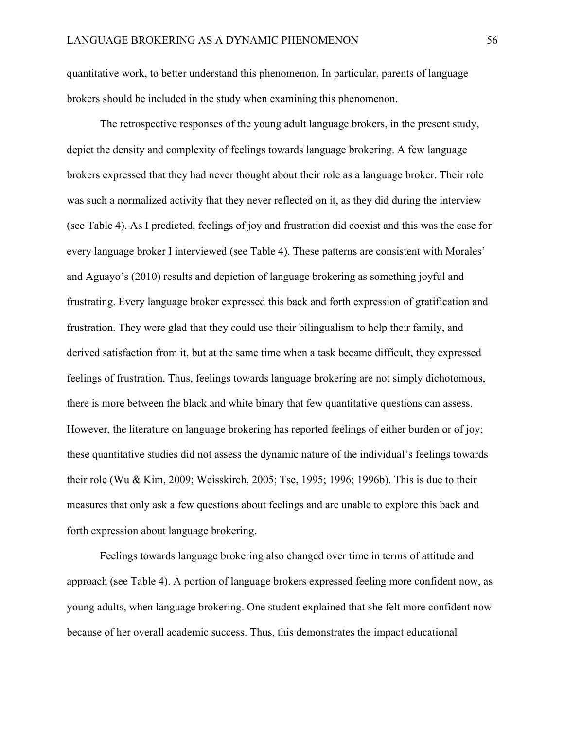quantitative work, to better understand this phenomenon. In particular, parents of language brokers should be included in the study when examining this phenomenon.

The retrospective responses of the young adult language brokers, in the present study, depict the density and complexity of feelings towards language brokering. A few language brokers expressed that they had never thought about their role as a language broker. Their role was such a normalized activity that they never reflected on it, as they did during the interview (see Table 4). As I predicted, feelings of joy and frustration did coexist and this was the case for every language broker I interviewed (see Table 4). These patterns are consistent with Morales' and Aguayo's (2010) results and depiction of language brokering as something joyful and frustrating. Every language broker expressed this back and forth expression of gratification and frustration. They were glad that they could use their bilingualism to help their family, and derived satisfaction from it, but at the same time when a task became difficult, they expressed feelings of frustration. Thus, feelings towards language brokering are not simply dichotomous, there is more between the black and white binary that few quantitative questions can assess. However, the literature on language brokering has reported feelings of either burden or of joy; these quantitative studies did not assess the dynamic nature of the individual's feelings towards their role (Wu & Kim, 2009; Weisskirch, 2005; Tse, 1995; 1996; 1996b). This is due to their measures that only ask a few questions about feelings and are unable to explore this back and forth expression about language brokering.

Feelings towards language brokering also changed over time in terms of attitude and approach (see Table 4). A portion of language brokers expressed feeling more confident now, as young adults, when language brokering. One student explained that she felt more confident now because of her overall academic success. Thus, this demonstrates the impact educational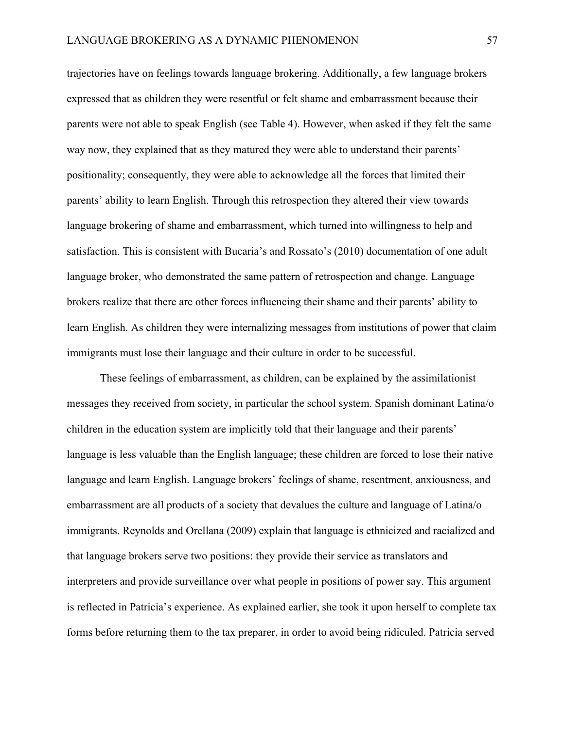trajectories have on feelings towards language brokering. Additionally, a few language brokers expressed that as children they were resentful or felt shame and embarrassment because their parents were not able to speak English (see Table 4). However, when asked if they felt the same way now, they explained that as they matured they were able to understand their parents' positionality; consequently, they were able to acknowledge all the forces that limited their parents' ability to learn English. Through this retrospection they altered their view towards language brokering of shame and embarrassment, which turned into willingness to help and satisfaction. This is consistent with Bucaria's and Rossato's (2010) documentation of one adult language broker, who demonstrated the same pattern of retrospection and change. Language brokers realize that there are other forces influencing their shame and their parents' ability to learn English. As children they were internalizing messages from institutions of power that claim immigrants must lose their language and their culture in order to be successful.

These feelings of embarrassment, as children, can be explained by the assimilationist messages they received from society, in particular the school system. Spanish dominant Latina/o children in the education system are implicitly told that their language and their parents' language is less valuable than the English language; these children are forced to lose their native language and learn English. Language brokers' feelings of shame, resentment, anxiousness, and embarrassment are all products of a society that devalues the culture and language of Latina/o immigrants. Reynolds and Orellana (2009) explain that language is ethnicized and racialized and that language brokers serve two positions: they provide their service as translators and interpreters and provide surveillance over what people in positions of power say. This argument is reflected in Patricia's experience. As explained earlier, she took it upon herself to complete tax forms before returning them to the tax preparer, in order to avoid being ridiculed. Patricia served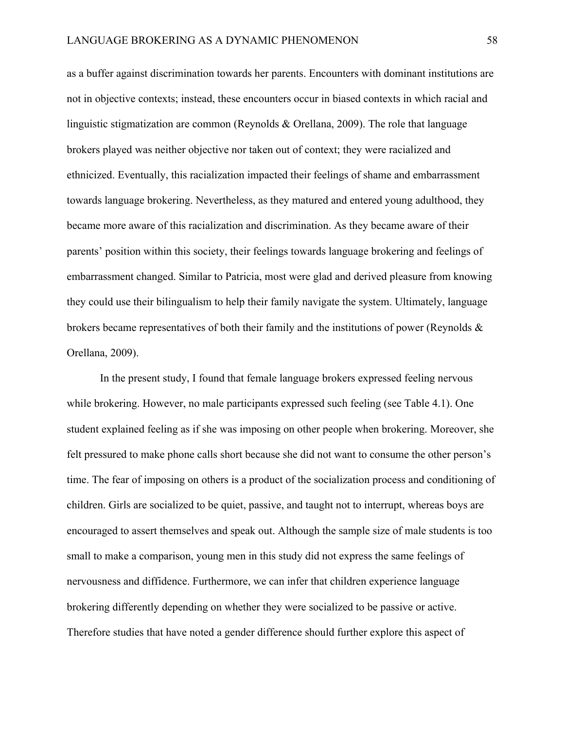as a buffer against discrimination towards her parents. Encounters with dominant institutions are not in objective contexts; instead, these encounters occur in biased contexts in which racial and linguistic stigmatization are common (Reynolds & Orellana, 2009). The role that language brokers played was neither objective nor taken out of context; they were racialized and ethnicized. Eventually, this racialization impacted their feelings of shame and embarrassment towards language brokering. Nevertheless, as they matured and entered young adulthood, they became more aware of this racialization and discrimination. As they became aware of their parents' position within this society, their feelings towards language brokering and feelings of embarrassment changed. Similar to Patricia, most were glad and derived pleasure from knowing they could use their bilingualism to help their family navigate the system. Ultimately, language brokers became representatives of both their family and the institutions of power (Reynolds & Orellana, 2009).

In the present study, I found that female language brokers expressed feeling nervous while brokering. However, no male participants expressed such feeling (see Table 4.1). One student explained feeling as if she was imposing on other people when brokering. Moreover, she felt pressured to make phone calls short because she did not want to consume the other person's time. The fear of imposing on others is a product of the socialization process and conditioning of children. Girls are socialized to be quiet, passive, and taught not to interrupt, whereas boys are encouraged to assert themselves and speak out. Although the sample size of male students is too small to make a comparison, young men in this study did not express the same feelings of nervousness and diffidence. Furthermore, we can infer that children experience language brokering differently depending on whether they were socialized to be passive or active. Therefore studies that have noted a gender difference should further explore this aspect of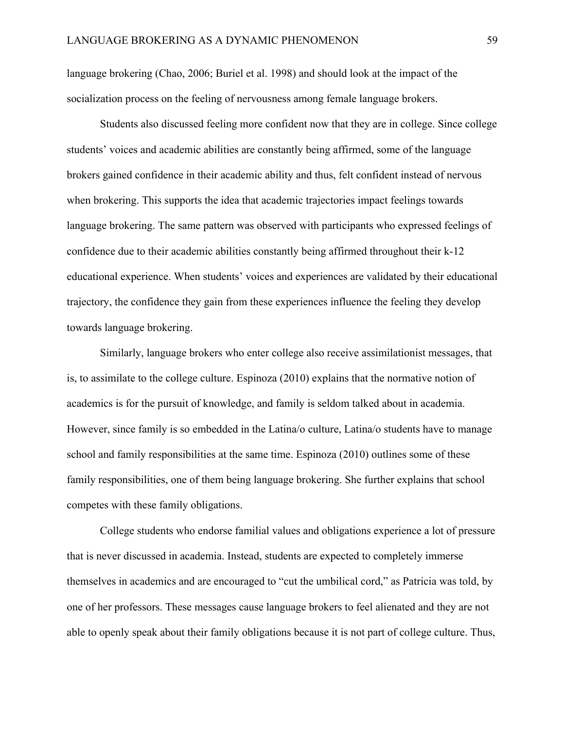language brokering (Chao, 2006; Buriel et al. 1998) and should look at the impact of the socialization process on the feeling of nervousness among female language brokers.

Students also discussed feeling more confident now that they are in college. Since college students' voices and academic abilities are constantly being affirmed, some of the language brokers gained confidence in their academic ability and thus, felt confident instead of nervous when brokering. This supports the idea that academic trajectories impact feelings towards language brokering. The same pattern was observed with participants who expressed feelings of confidence due to their academic abilities constantly being affirmed throughout their k-12 educational experience. When students' voices and experiences are validated by their educational trajectory, the confidence they gain from these experiences influence the feeling they develop towards language brokering.

Similarly, language brokers who enter college also receive assimilationist messages, that is, to assimilate to the college culture. Espinoza (2010) explains that the normative notion of academics is for the pursuit of knowledge, and family is seldom talked about in academia. However, since family is so embedded in the Latina/o culture, Latina/o students have to manage school and family responsibilities at the same time. Espinoza (2010) outlines some of these family responsibilities, one of them being language brokering. She further explains that school competes with these family obligations.

College students who endorse familial values and obligations experience a lot of pressure that is never discussed in academia. Instead, students are expected to completely immerse themselves in academics and are encouraged to "cut the umbilical cord," as Patricia was told, by one of her professors. These messages cause language brokers to feel alienated and they are not able to openly speak about their family obligations because it is not part of college culture. Thus,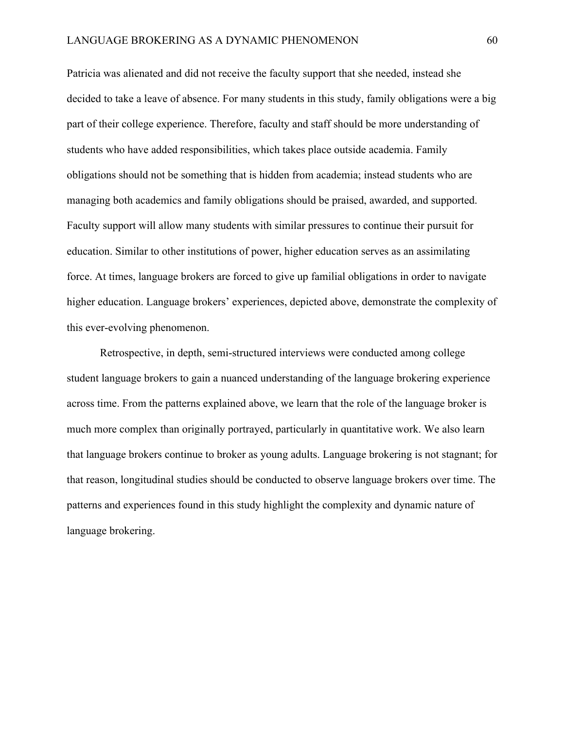Patricia was alienated and did not receive the faculty support that she needed, instead she decided to take a leave of absence. For many students in this study, family obligations were a big part of their college experience. Therefore, faculty and staff should be more understanding of students who have added responsibilities, which takes place outside academia. Family obligations should not be something that is hidden from academia; instead students who are managing both academics and family obligations should be praised, awarded, and supported. Faculty support will allow many students with similar pressures to continue their pursuit for education. Similar to other institutions of power, higher education serves as an assimilating force. At times, language brokers are forced to give up familial obligations in order to navigate higher education. Language brokers' experiences, depicted above, demonstrate the complexity of this ever-evolving phenomenon.

Retrospective, in depth, semi-structured interviews were conducted among college student language brokers to gain a nuanced understanding of the language brokering experience across time. From the patterns explained above, we learn that the role of the language broker is much more complex than originally portrayed, particularly in quantitative work. We also learn that language brokers continue to broker as young adults. Language brokering is not stagnant; for that reason, longitudinal studies should be conducted to observe language brokers over time. The patterns and experiences found in this study highlight the complexity and dynamic nature of language brokering.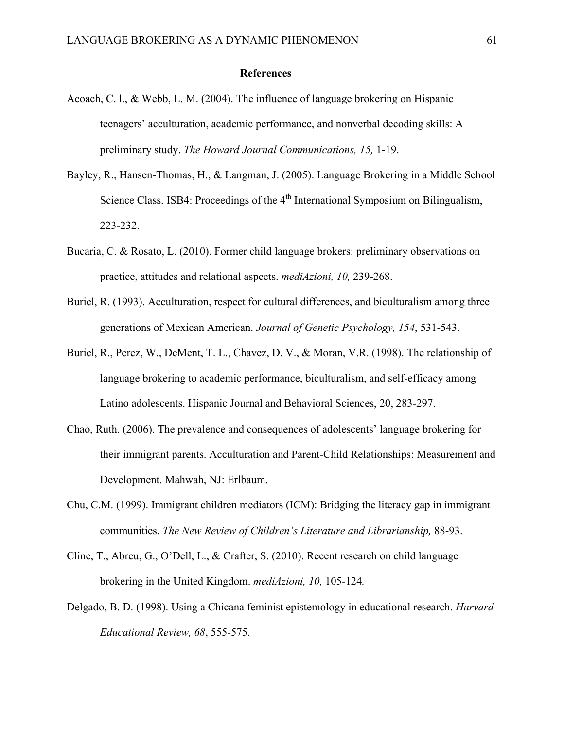#### **References**

- Acoach, C. l., & Webb, L. M. (2004). The influence of language brokering on Hispanic teenagers' acculturation, academic performance, and nonverbal decoding skills: A preliminary study. *The Howard Journal Communications, 15,* 1-19.
- Bayley, R., Hansen-Thomas, H., & Langman, J. (2005). Language Brokering in a Middle School Science Class. ISB4: Proceedings of the 4<sup>th</sup> International Symposium on Bilingualism, 223-232.
- Bucaria, C. & Rosato, L. (2010). Former child language brokers: preliminary observations on practice, attitudes and relational aspects. *mediAzioni, 10,* 239-268.
- Buriel, R. (1993). Acculturation, respect for cultural differences, and biculturalism among three generations of Mexican American. *Journal of Genetic Psychology, 154*, 531-543.
- Buriel, R., Perez, W., DeMent, T. L., Chavez, D. V., & Moran, V.R. (1998). The relationship of language brokering to academic performance, biculturalism, and self-efficacy among Latino adolescents. Hispanic Journal and Behavioral Sciences, 20, 283-297.
- Chao, Ruth. (2006). The prevalence and consequences of adolescents' language brokering for their immigrant parents. Acculturation and Parent-Child Relationships: Measurement and Development. Mahwah, NJ: Erlbaum.
- Chu, C.M. (1999). Immigrant children mediators (ICM): Bridging the literacy gap in immigrant communities. *The New Review of Children's Literature and Librarianship,* 88-93.
- Cline, T., Abreu, G., O'Dell, L., & Crafter, S. (2010). Recent research on child language brokering in the United Kingdom. *mediAzioni, 10,* 105-124*.*
- Delgado, B. D. (1998). Using a Chicana feminist epistemology in educational research. *Harvard Educational Review, 68*, 555-575.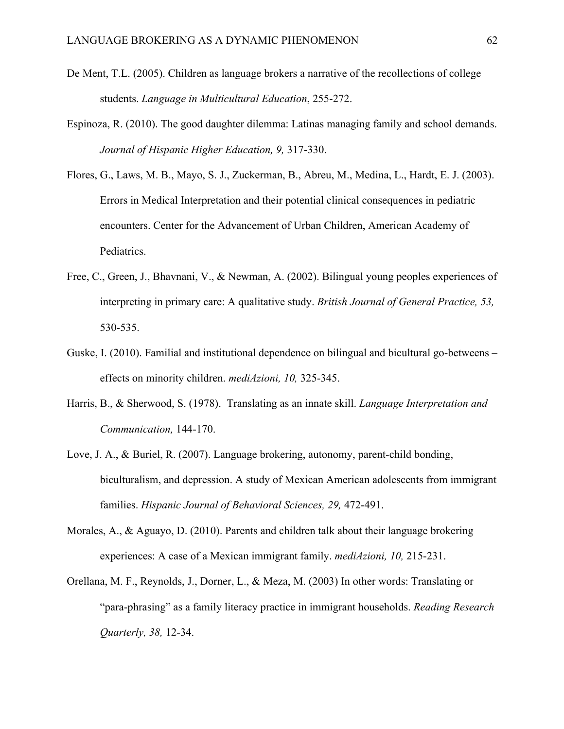- De Ment, T.L. (2005). Children as language brokers a narrative of the recollections of college students. *Language in Multicultural Education*, 255-272.
- Espinoza, R. (2010). The good daughter dilemma: Latinas managing family and school demands. *Journal of Hispanic Higher Education, 9,* 317-330.
- Flores, G., Laws, M. B., Mayo, S. J., Zuckerman, B., Abreu, M., Medina, L., Hardt, E. J. (2003). Errors in Medical Interpretation and their potential clinical consequences in pediatric encounters. Center for the Advancement of Urban Children, American Academy of Pediatrics.
- Free, C., Green, J., Bhavnani, V., & Newman, A. (2002). Bilingual young peoples experiences of interpreting in primary care: A qualitative study. *British Journal of General Practice, 53,* 530-535.
- Guske, I. (2010). Familial and institutional dependence on bilingual and bicultural go-betweens effects on minority children. *mediAzioni, 10,* 325-345.
- Harris, B., & Sherwood, S. (1978). Translating as an innate skill. *Language Interpretation and Communication,* 144-170.
- Love, J. A., & Buriel, R. (2007). Language brokering, autonomy, parent-child bonding, biculturalism, and depression. A study of Mexican American adolescents from immigrant families. *Hispanic Journal of Behavioral Sciences, 29,* 472-491.
- Morales, A., & Aguayo, D. (2010). Parents and children talk about their language brokering experiences: A case of a Mexican immigrant family. *mediAzioni, 10,* 215-231.
- Orellana, M. F., Reynolds, J., Dorner, L., & Meza, M. (2003) In other words: Translating or "para-phrasing" as a family literacy practice in immigrant households. *Reading Research Quarterly, 38,* 12-34.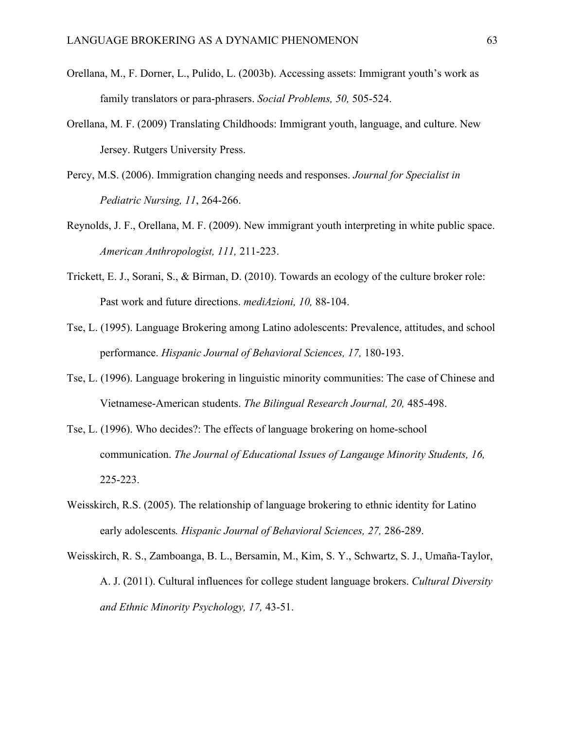- Orellana, M., F. Dorner, L., Pulido, L. (2003b). Accessing assets: Immigrant youth's work as family translators or para-phrasers. *Social Problems, 50,* 505-524.
- Orellana, M. F. (2009) Translating Childhoods: Immigrant youth, language, and culture. New Jersey. Rutgers University Press.
- Percy, M.S. (2006). Immigration changing needs and responses. *Journal for Specialist in Pediatric Nursing, 11*, 264-266.
- Reynolds, J. F., Orellana, M. F. (2009). New immigrant youth interpreting in white public space. *American Anthropologist, 111,* 211-223.
- Trickett, E. J., Sorani, S., & Birman, D. (2010). Towards an ecology of the culture broker role: Past work and future directions. *mediAzioni, 10,* 88-104.
- Tse, L. (1995). Language Brokering among Latino adolescents: Prevalence, attitudes, and school performance. *Hispanic Journal of Behavioral Sciences, 17,* 180-193.
- Tse, L. (1996). Language brokering in linguistic minority communities: The case of Chinese and Vietnamese-American students. *The Bilingual Research Journal, 20,* 485-498.
- Tse, L. (1996). Who decides?: The effects of language brokering on home-school communication. *The Journal of Educational Issues of Langauge Minority Students, 16,* 225-223.
- Weisskirch, R.S. (2005). The relationship of language brokering to ethnic identity for Latino early adolescents*. Hispanic Journal of Behavioral Sciences, 27,* 286-289.
- Weisskirch, R. S., Zamboanga, B. L., Bersamin, M., Kim, S. Y., Schwartz, S. J., Umaña-Taylor, A. J. (2011). Cultural influences for college student language brokers. *Cultural Diversity and Ethnic Minority Psychology, 17,* 43-51.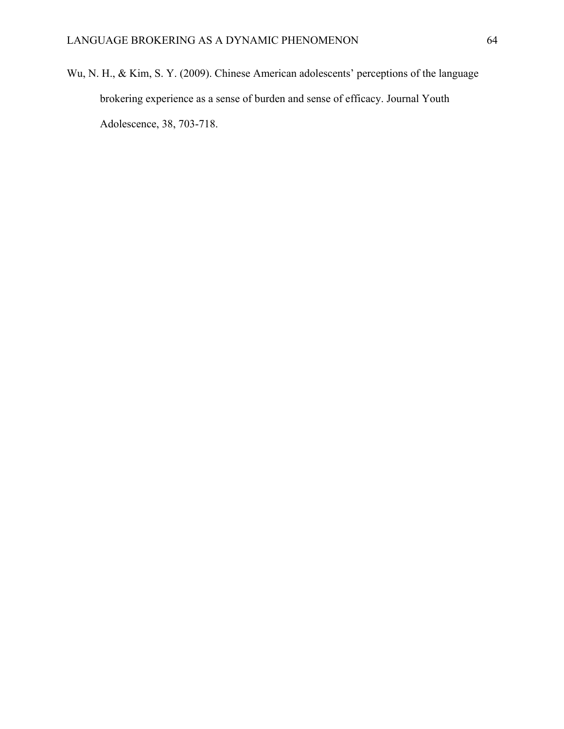Wu, N. H., & Kim, S. Y. (2009). Chinese American adolescents' perceptions of the language brokering experience as a sense of burden and sense of efficacy. Journal Youth Adolescence, 38, 703-718.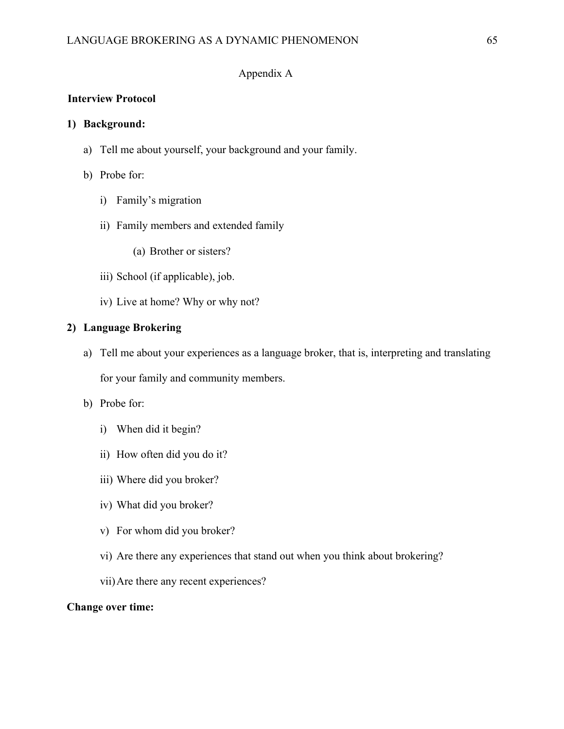# Appendix A

# **Interview Protocol**

### **1) Background:**

- a) Tell me about yourself, your background and your family.
- b) Probe for:
	- i) Family's migration
	- ii) Family members and extended family
		- (a) Brother or sisters?
	- iii) School (if applicable), job.
	- iv) Live at home? Why or why not?

### **2) Language Brokering**

- a) Tell me about your experiences as a language broker, that is, interpreting and translating for your family and community members.
- b) Probe for:
	- i) When did it begin?
	- ii) How often did you do it?
	- iii) Where did you broker?
	- iv) What did you broker?
	- v) For whom did you broker?
	- vi) Are there any experiences that stand out when you think about brokering?
	- vii)Are there any recent experiences?

#### **Change over time:**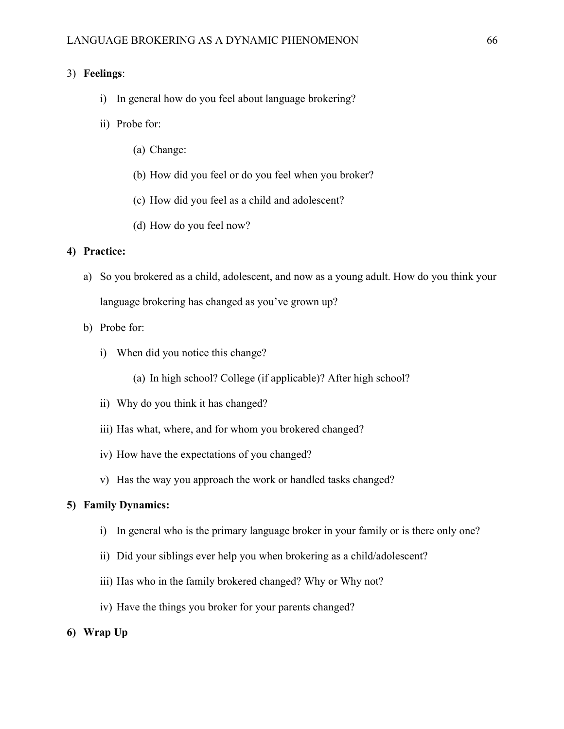# 3) **Feelings**:

- i) In general how do you feel about language brokering?
- ii) Probe for:
	- (a) Change:
	- (b) How did you feel or do you feel when you broker?
	- (c) How did you feel as a child and adolescent?
	- (d) How do you feel now?

### **4) Practice:**

- a) So you brokered as a child, adolescent, and now as a young adult. How do you think your language brokering has changed as you've grown up?
- b) Probe for:
	- i) When did you notice this change?
		- (a) In high school? College (if applicable)? After high school?
	- ii) Why do you think it has changed?
	- iii) Has what, where, and for whom you brokered changed?
	- iv) How have the expectations of you changed?
	- v) Has the way you approach the work or handled tasks changed?

# **5) Family Dynamics:**

- i) In general who is the primary language broker in your family or is there only one?
- ii) Did your siblings ever help you when brokering as a child/adolescent?
- iii) Has who in the family brokered changed? Why or Why not?
- iv) Have the things you broker for your parents changed?
- **6) Wrap Up**